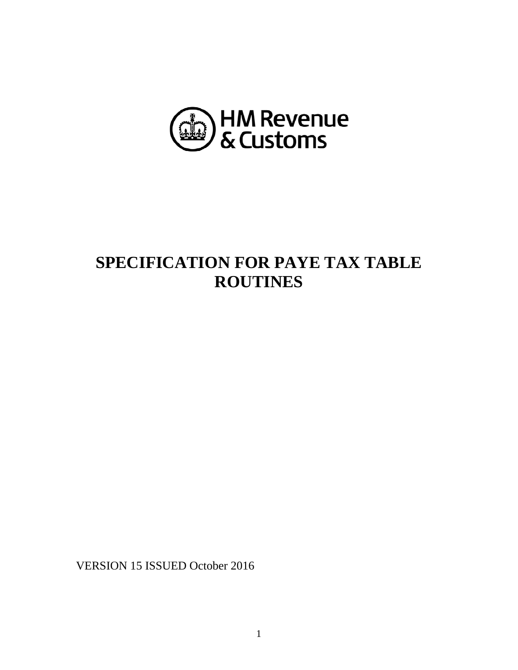

# **SPECIFICATION FOR PAYE TAX TABLE ROUTINES**

VERSION 15 ISSUED October 2016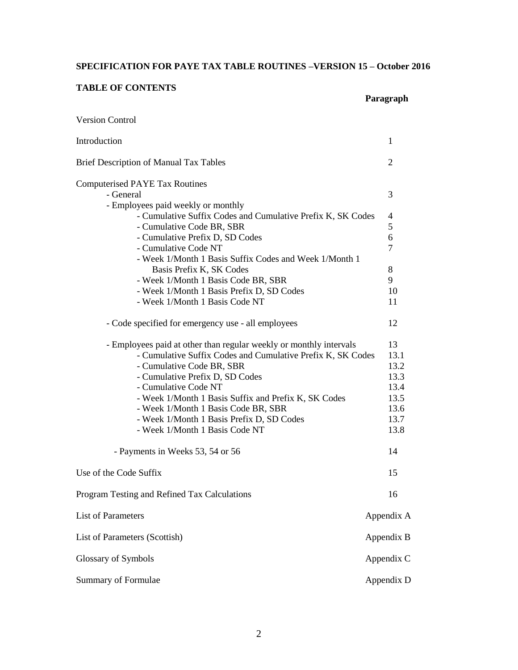# **SPECIFICATION FOR PAYE TAX TABLE ROUTINES –VERSION 15 – October 2016**

**Paragraph**

# **TABLE OF CONTENTS**

| <b>Version Control</b>                                                           |                |
|----------------------------------------------------------------------------------|----------------|
| Introduction                                                                     | 1              |
| <b>Brief Description of Manual Tax Tables</b>                                    | 2              |
| <b>Computerised PAYE Tax Routines</b>                                            |                |
| - General                                                                        | 3              |
| - Employees paid weekly or monthly                                               |                |
| - Cumulative Suffix Codes and Cumulative Prefix K, SK Codes                      | $\overline{4}$ |
| - Cumulative Code BR, SBR                                                        | 5              |
| - Cumulative Prefix D, SD Codes                                                  | 6              |
| - Cumulative Code NT                                                             | $\overline{7}$ |
| - Week 1/Month 1 Basis Suffix Codes and Week 1/Month 1                           |                |
| Basis Prefix K, SK Codes                                                         | 8<br>9         |
| - Week 1/Month 1 Basis Code BR, SBR<br>- Week 1/Month 1 Basis Prefix D, SD Codes | 10             |
| - Week 1/Month 1 Basis Code NT                                                   | 11             |
|                                                                                  |                |
| - Code specified for emergency use - all employees                               | 12             |
| - Employees paid at other than regular weekly or monthly intervals               | 13             |
| - Cumulative Suffix Codes and Cumulative Prefix K, SK Codes                      | 13.1           |
| - Cumulative Code BR, SBR                                                        | 13.2           |
| - Cumulative Prefix D, SD Codes                                                  | 13.3           |
| - Cumulative Code NT                                                             | 13.4           |
| - Week 1/Month 1 Basis Suffix and Prefix K, SK Codes                             | 13.5           |
| - Week 1/Month 1 Basis Code BR, SBR                                              | 13.6           |
| - Week 1/Month 1 Basis Prefix D, SD Codes                                        | 13.7           |
| - Week 1/Month 1 Basis Code NT                                                   | 13.8           |
| - Payments in Weeks 53, 54 or 56                                                 | 14             |
| Use of the Code Suffix                                                           | 15             |
| Program Testing and Refined Tax Calculations                                     | 16             |
| List of Parameters                                                               | Appendix A     |
| List of Parameters (Scottish)                                                    | Appendix B     |
| Glossary of Symbols                                                              | Appendix C     |
| Summary of Formulae                                                              | Appendix D     |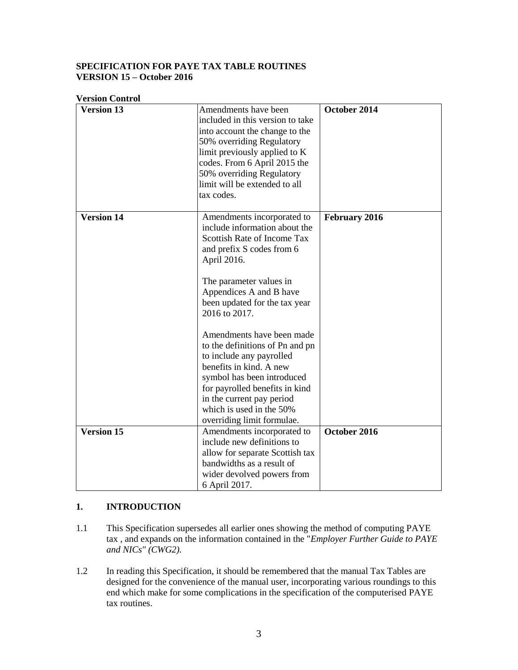## **SPECIFICATION FOR PAYE TAX TABLE ROUTINES VERSION 15 – October 2016**

# **Version Control**

| <b>Version 13</b> | Amendments have been             | October 2014         |
|-------------------|----------------------------------|----------------------|
|                   |                                  |                      |
|                   | included in this version to take |                      |
|                   | into account the change to the   |                      |
|                   | 50% overriding Regulatory        |                      |
|                   | limit previously applied to K    |                      |
|                   | codes. From 6 April 2015 the     |                      |
|                   | 50% overriding Regulatory        |                      |
|                   | limit will be extended to all    |                      |
|                   | tax codes.                       |                      |
|                   |                                  |                      |
| <b>Version 14</b> | Amendments incorporated to       | <b>February 2016</b> |
|                   | include information about the    |                      |
|                   | Scottish Rate of Income Tax      |                      |
|                   | and prefix S codes from 6        |                      |
|                   | April 2016.                      |                      |
|                   |                                  |                      |
|                   | The parameter values in          |                      |
|                   | Appendices A and B have          |                      |
|                   | been updated for the tax year    |                      |
|                   | 2016 to 2017.                    |                      |
|                   |                                  |                      |
|                   | Amendments have been made        |                      |
|                   | to the definitions of Pn and pn  |                      |
|                   | to include any payrolled         |                      |
|                   | benefits in kind. A new          |                      |
|                   |                                  |                      |
|                   | symbol has been introduced       |                      |
|                   | for payrolled benefits in kind   |                      |
|                   | in the current pay period        |                      |
|                   | which is used in the 50%         |                      |
|                   | overriding limit formulae.       |                      |
| <b>Version 15</b> | Amendments incorporated to       | October 2016         |
|                   | include new definitions to       |                      |
|                   | allow for separate Scottish tax  |                      |
|                   | bandwidths as a result of        |                      |
|                   | wider devolved powers from       |                      |
|                   | 6 April 2017.                    |                      |

## **1. INTRODUCTION**

- 1.1 This Specification supersedes all earlier ones showing the method of computing PAYE tax , and expands on the information contained in the "*Employer Further Guide to PAYE and NICs" (CWG2).*
- 1.2 In reading this Specification, it should be remembered that the manual Tax Tables are designed for the convenience of the manual user, incorporating various roundings to this end which make for some complications in the specification of the computerised PAYE tax routines.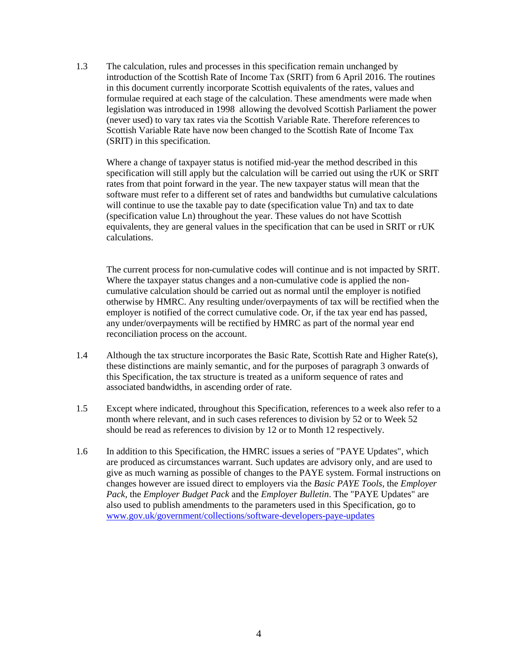1.3 The calculation, rules and processes in this specification remain unchanged by introduction of the Scottish Rate of Income Tax (SRIT) from 6 April 2016. The routines in this document currently incorporate Scottish equivalents of the rates, values and formulae required at each stage of the calculation. These amendments were made when legislation was introduced in 1998 allowing the devolved Scottish Parliament the power (never used) to vary tax rates via the Scottish Variable Rate. Therefore references to Scottish Variable Rate have now been changed to the Scottish Rate of Income Tax (SRIT) in this specification.

Where a change of taxpayer status is notified mid-year the method described in this specification will still apply but the calculation will be carried out using the rUK or SRIT rates from that point forward in the year. The new taxpayer status will mean that the software must refer to a different set of rates and bandwidths but cumulative calculations will continue to use the taxable pay to date (specification value Tn) and tax to date (specification value Ln) throughout the year. These values do not have Scottish equivalents, they are general values in the specification that can be used in SRIT or rUK calculations.

The current process for non-cumulative codes will continue and is not impacted by SRIT. Where the taxpayer status changes and a non-cumulative code is applied the noncumulative calculation should be carried out as normal until the employer is notified otherwise by HMRC. Any resulting under/overpayments of tax will be rectified when the employer is notified of the correct cumulative code. Or, if the tax year end has passed, any under/overpayments will be rectified by HMRC as part of the normal year end reconciliation process on the account.

- 1.4 Although the tax structure incorporates the Basic Rate, Scottish Rate and Higher Rate(s), these distinctions are mainly semantic, and for the purposes of paragraph 3 onwards of this Specification, the tax structure is treated as a uniform sequence of rates and associated bandwidths, in ascending order of rate.
- 1.5 Except where indicated, throughout this Specification, references to a week also refer to a month where relevant, and in such cases references to division by 52 or to Week 52 should be read as references to division by 12 or to Month 12 respectively.
- 1.6 In addition to this Specification, the HMRC issues a series of "PAYE Updates", which are produced as circumstances warrant. Such updates are advisory only, and are used to give as much warning as possible of changes to the PAYE system. Formal instructions on changes however are issued direct to employers via the *Basic PAYE Tools*, the *Employer Pack,* the *Employer Budget Pack* and the *Employer Bulletin*. The "PAYE Updates" are also used to publish amendments to the parameters used in this Specification, go to [www.gov.uk/government/collections/software-developers-paye-updates](https://www.gov.uk/government/collections/software-developers-paye-updates)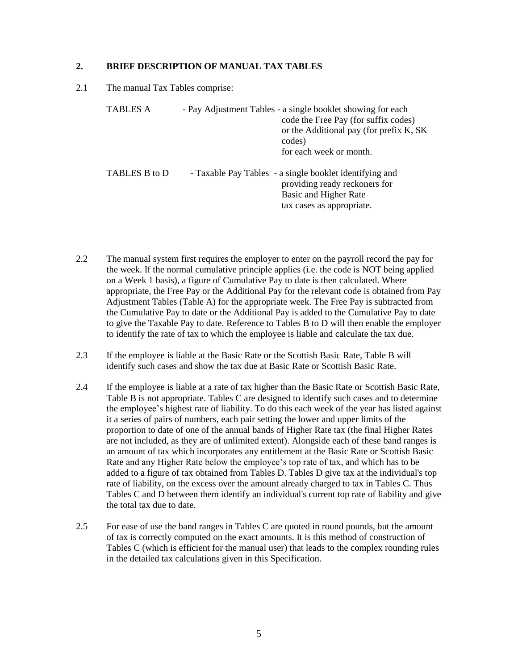## **2. BRIEF DESCRIPTION OF MANUAL TAX TABLES**

2.1 The manual Tax Tables comprise:

| <b>TABLES A</b> | - Pay Adjustment Tables - a single booklet showing for each<br>code the Free Pay (for suffix codes)<br>or the Additional pay (for prefix K, SK)<br>codes)<br>for each week or month. |
|-----------------|--------------------------------------------------------------------------------------------------------------------------------------------------------------------------------------|
| TABLES B to D   | - Taxable Pay Tables - a single booklet identifying and<br>providing ready reckoners for<br>Basic and Higher Rate<br>tax cases as appropriate.                                       |

- 2.2 The manual system first requires the employer to enter on the payroll record the pay for the week. If the normal cumulative principle applies (i.e. the code is NOT being applied on a Week 1 basis), a figure of Cumulative Pay to date is then calculated. Where appropriate, the Free Pay or the Additional Pay for the relevant code is obtained from Pay Adjustment Tables (Table A) for the appropriate week. The Free Pay is subtracted from the Cumulative Pay to date or the Additional Pay is added to the Cumulative Pay to date to give the Taxable Pay to date. Reference to Tables B to D will then enable the employer to identify the rate of tax to which the employee is liable and calculate the tax due.
- 2.3 If the employee is liable at the Basic Rate or the Scottish Basic Rate, Table B will identify such cases and show the tax due at Basic Rate or Scottish Basic Rate.
- 2.4 If the employee is liable at a rate of tax higher than the Basic Rate or Scottish Basic Rate, Table B is not appropriate. Tables C are designed to identify such cases and to determine the employee's highest rate of liability. To do this each week of the year has listed against it a series of pairs of numbers, each pair setting the lower and upper limits of the proportion to date of one of the annual bands of Higher Rate tax (the final Higher Rates are not included, as they are of unlimited extent). Alongside each of these band ranges is an amount of tax which incorporates any entitlement at the Basic Rate or Scottish Basic Rate and any Higher Rate below the employee's top rate of tax, and which has to be added to a figure of tax obtained from Tables D. Tables D give tax at the individual's top rate of liability, on the excess over the amount already charged to tax in Tables C. Thus Tables C and D between them identify an individual's current top rate of liability and give the total tax due to date.
- 2.5 For ease of use the band ranges in Tables C are quoted in round pounds, but the amount of tax is correctly computed on the exact amounts. It is this method of construction of Tables C (which is efficient for the manual user) that leads to the complex rounding rules in the detailed tax calculations given in this Specification.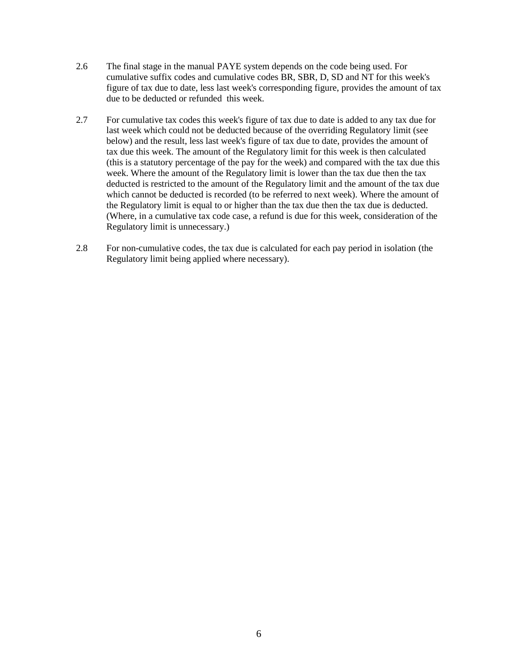- 2.6 The final stage in the manual PAYE system depends on the code being used. For cumulative suffix codes and cumulative codes BR, SBR, D, SD and NT for this week's figure of tax due to date, less last week's corresponding figure, provides the amount of tax due to be deducted or refunded this week.
- 2.7 For cumulative tax codes this week's figure of tax due to date is added to any tax due for last week which could not be deducted because of the overriding Regulatory limit (see below) and the result, less last week's figure of tax due to date, provides the amount of tax due this week. The amount of the Regulatory limit for this week is then calculated (this is a statutory percentage of the pay for the week) and compared with the tax due this week. Where the amount of the Regulatory limit is lower than the tax due then the tax deducted is restricted to the amount of the Regulatory limit and the amount of the tax due which cannot be deducted is recorded (to be referred to next week). Where the amount of the Regulatory limit is equal to or higher than the tax due then the tax due is deducted. (Where, in a cumulative tax code case, a refund is due for this week, consideration of the Regulatory limit is unnecessary.)
- 2.8 For non-cumulative codes, the tax due is calculated for each pay period in isolation (the Regulatory limit being applied where necessary).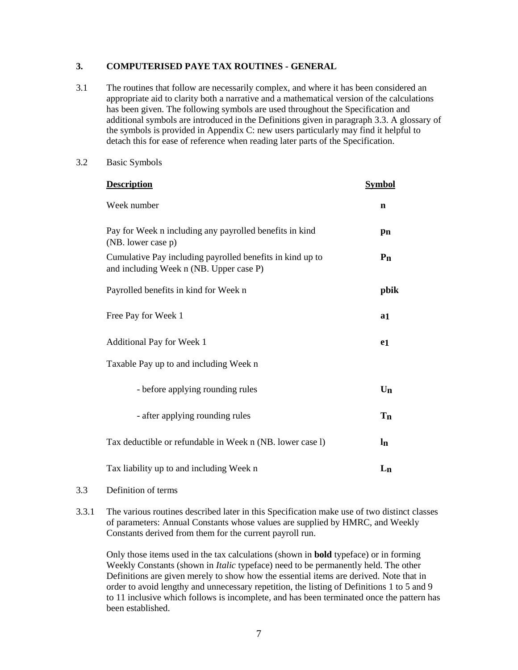## **3. COMPUTERISED PAYE TAX ROUTINES - GENERAL**

- 3.1 The routines that follow are necessarily complex, and where it has been considered an appropriate aid to clarity both a narrative and a mathematical version of the calculations has been given. The following symbols are used throughout the Specification and additional symbols are introduced in the Definitions given in paragraph 3.3. A glossary of the symbols is provided in Appendix C: new users particularly may find it helpful to detach this for ease of reference when reading later parts of the Specification.
- 3.2 Basic Symbols

| <b>Description</b>                                                                                   | Symbol         |
|------------------------------------------------------------------------------------------------------|----------------|
| Week number                                                                                          | $\mathbf n$    |
| Pay for Week n including any payrolled benefits in kind<br>(NB. lower case p)                        | pn             |
| Cumulative Pay including payrolled benefits in kind up to<br>and including Week n (NB. Upper case P) | P <sub>n</sub> |
| Payrolled benefits in kind for Week n                                                                | pbik           |
| Free Pay for Week 1                                                                                  | a1             |
| Additional Pay for Week 1                                                                            | e <sub>1</sub> |
| Taxable Pay up to and including Week n                                                               |                |
| - before applying rounding rules                                                                     | $U_{n}$        |
| - after applying rounding rules                                                                      | <b>Tn</b>      |
| Tax deductible or refundable in Week n (NB. lower case 1)                                            | $\ln$          |
| Tax liability up to and including Week n                                                             | $L_{n}$        |

#### 3.3 Definition of terms

3.3.1 The various routines described later in this Specification make use of two distinct classes of parameters: Annual Constants whose values are supplied by HMRC, and Weekly Constants derived from them for the current payroll run.

Only those items used in the tax calculations (shown in **bold** typeface) or in forming Weekly Constants (shown in *Italic* typeface) need to be permanently held. The other Definitions are given merely to show how the essential items are derived. Note that in order to avoid lengthy and unnecessary repetition, the listing of Definitions 1 to 5 and 9 to 11 inclusive which follows is incomplete, and has been terminated once the pattern has been established.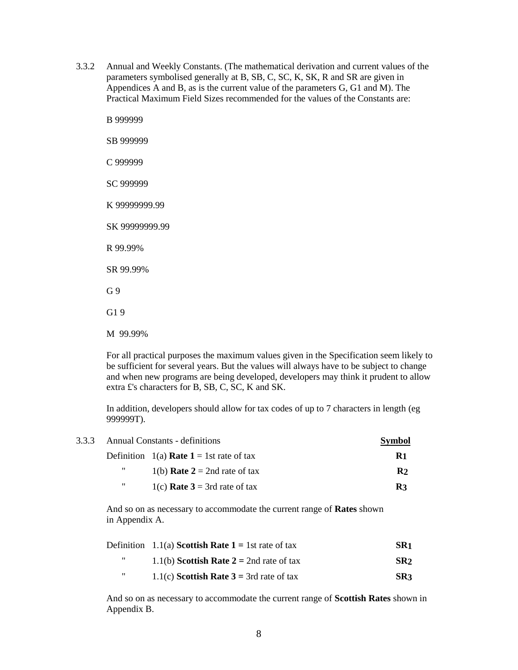- 3.3.2 Annual and Weekly Constants. (The mathematical derivation and current values of the parameters symbolised generally at B, SB, C, SC, K, SK, R and SR are given in Appendices A and B, as is the current value of the parameters G, G1 and M). The Practical Maximum Field Sizes recommended for the values of the Constants are:
	- B 999999 SB 999999 C 999999 SC 999999 K 99999999.99 SK 99999999.99 R 99.99% SR 99.99% G 9 G1 9 M 99.99%

For all practical purposes the maximum values given in the Specification seem likely to be sufficient for several years. But the values will always have to be subject to change and when new programs are being developed, developers may think it prudent to allow extra £'s characters for B, SB, C, SC, K and SK.

In addition, developers should allow for tax codes of up to 7 characters in length (eg 999999T).

|   | 3.3.3 Annual Constants - definitions            | <b>Symbol</b>  |
|---|-------------------------------------------------|----------------|
|   | Definition 1(a) <b>Rate 1</b> = 1st rate of tax | R1             |
| " | 1(b) <b>Rate 2</b> = 2nd rate of tax            | R <sub>2</sub> |
| " | 1(c) <b>Rate 3</b> = 3rd rate of tax            | R3             |

And so on as necessary to accommodate the current range of **Rates** shown in Appendix A.

|   | Definition 1.1(a) <b>Scottish Rate 1</b> = 1st rate of tax | SR1             |
|---|------------------------------------------------------------|-----------------|
| " | 1.1(b) Scottish Rate $2 = 2$ nd rate of tax                | SR <sub>2</sub> |
| " | 1.1(c) Scottish Rate $3 = 3$ rd rate of tax                | SR <sub>3</sub> |

And so on as necessary to accommodate the current range of **Scottish Rates** shown in Appendix B.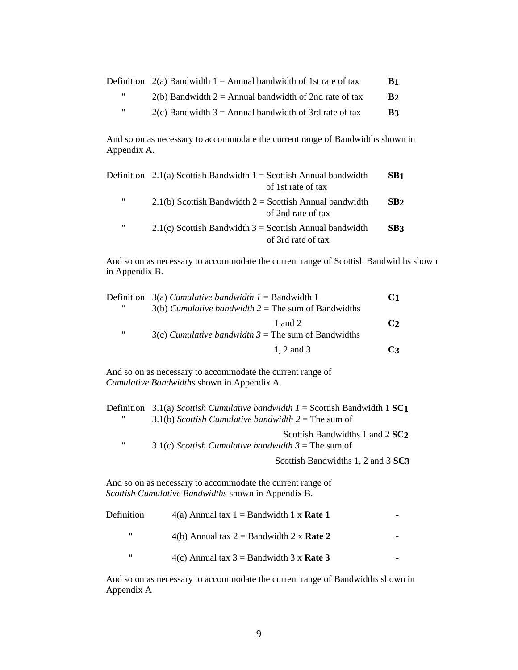|                   | Definition $2(a)$ Bandwidth 1 = Annual bandwidth of 1st rate of tax | B <sub>1</sub> |
|-------------------|---------------------------------------------------------------------|----------------|
| "                 | $2(b)$ Bandwidth 2 = Annual bandwidth of 2nd rate of tax            | B <sub>2</sub> |
| $^{\prime\prime}$ | $2(c)$ Bandwidth 3 = Annual bandwidth of 3rd rate of tax            | B3             |

And so on as necessary to accommodate the current range of Bandwidths shown in Appendix A.

|   | Definition 2.1(a) Scottish Bandwidth $1 =$ Scottish Annual bandwidth<br>of 1st rate of tax | SB <sub>1</sub> |
|---|--------------------------------------------------------------------------------------------|-----------------|
| " | $2.1(b)$ Scottish Bandwidth $2 =$ Scottish Annual bandwidth<br>of 2nd rate of tax          | SB <sub>2</sub> |
| " | $2.1(c)$ Scottish Bandwidth 3 = Scottish Annual bandwidth<br>of 3rd rate of tax            | SB3             |

And so on as necessary to accommodate the current range of Scottish Bandwidths shown in Appendix B.

|   | Definition $3(a)$ Cumulative bandwidth $1 =$ Bandwidth 1 | C1            |
|---|----------------------------------------------------------|---------------|
| " | $3(b)$ Cumulative bandwidth $2 =$ The sum of Bandwidths  |               |
|   | 1 and 2                                                  | $\mathbf{C2}$ |
| " | $3(c)$ Cumulative bandwidth $3 =$ The sum of Bandwidths  |               |
|   | 1. 2 and 3                                               | $^{\prime}$   |

And so on as necessary to accommodate the current range of *Cumulative Bandwidths* shown in Appendix A.

| Definition 3.1(a) Scottish Cumulative bandwidth $I =$ Scottish Bandwidth 1 SC1 |
|--------------------------------------------------------------------------------|
| 3.1(b) Scottish Cumulative bandwidth $2 =$ The sum of                          |
| Scottish Bandwidths 1 and 2 SC <sub>2</sub>                                    |

" 3.1(c) *Scottish Cumulative bandwidth 3* = The sum of

Scottish Bandwidths 1, 2 and 3 **SC3**

And so on as necessary to accommodate the current range of *Scottish Cumulative Bandwidths* shown in Appendix B.

| Definition | $4(a)$ Annual tax 1 = Bandwidth 1 x <b>Rate 1</b> |  |
|------------|---------------------------------------------------|--|
| "          | 4(b) Annual tax $2 =$ Bandwidth 2 x <b>Rate 2</b> |  |
| "          | 4(c) Annual tax $3 =$ Bandwidth 3 x <b>Rate 3</b> |  |

And so on as necessary to accommodate the current range of Bandwidths shown in Appendix A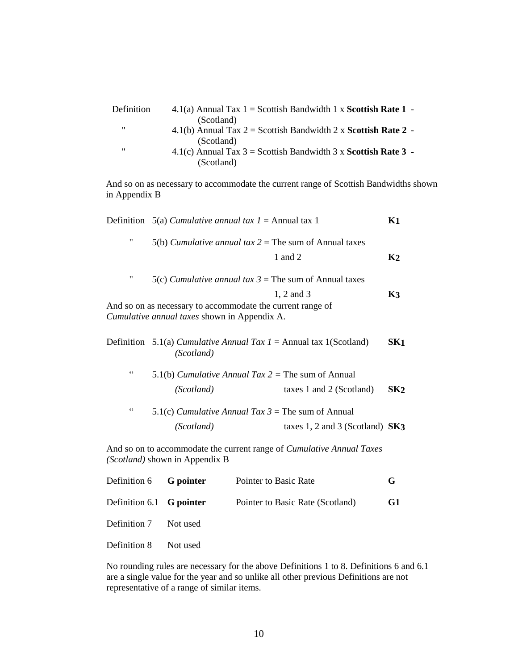| 4.1(a) Annual Tax $1 =$ Scottish Bandwidth 1 x Scottish Rate 1 - |
|------------------------------------------------------------------|
| (Scotland)                                                       |
| 4.1(b) Annual Tax $2 =$ Scottish Bandwidth 2 x Scottish Rate 2 - |
| (Scotland)                                                       |
| 4.1(c) Annual Tax $3 =$ Scottish Bandwidth 3 x Scottish Rate 3 - |
| (Scotland)                                                       |
|                                                                  |

And so on as necessary to accommodate the current range of Scottish Bandwidths shown in Appendix B

|                    | Definition 5(a) Cumulative annual tax $1 =$ Annual tax 1                                                   | K <sub>1</sub>  |
|--------------------|------------------------------------------------------------------------------------------------------------|-----------------|
| $\pmb{\mathsf{H}}$ | 5(b) Cumulative annual tax $2 =$ The sum of Annual taxes                                                   |                 |
|                    | 1 and 2                                                                                                    | K <sub>2</sub>  |
| $\pmb{\mathsf{H}}$ | 5(c) Cumulative annual tax $3$ = The sum of Annual taxes                                                   |                 |
|                    | 1, 2 and 3                                                                                                 | K <sub>3</sub>  |
|                    | And so on as necessary to accommodate the current range of<br>Cumulative annual taxes shown in Appendix A. |                 |
|                    | Definition 5.1(a) Cumulative Annual Tax $1 =$ Annual tax 1(Scotland)<br>(Scotland)                         | SK <sub>1</sub> |
| C C                | 5.1(b) Cumulative Annual Tax $2 =$ The sum of Annual                                                       |                 |
|                    | (Scotland)<br>taxes 1 and 2 (Scotland)                                                                     | SK <sub>2</sub> |
| C C                | 5.1(c) Cumulative Annual Tax $3$ = The sum of Annual                                                       |                 |
|                    | (Scotland)<br>taxes $1, 2$ and $3$ (Scotland) SK3                                                          |                 |
|                    | And so on to accommodate the current range of <i>Cumulative Annual Taxes</i>                               |                 |

*(Scotland)* shown in Appendix B

| Definition 6 G pointer   | Pointer to Basic Rate            |                |
|--------------------------|----------------------------------|----------------|
| Definition 6.1 G pointer | Pointer to Basic Rate (Scotland) | G <sub>1</sub> |
| Definition 7 Not used    |                                  |                |
| Definition 8 Not used    |                                  |                |

No rounding rules are necessary for the above Definitions 1 to 8. Definitions 6 and 6.1 are a single value for the year and so unlike all other previous Definitions are not representative of a range of similar items.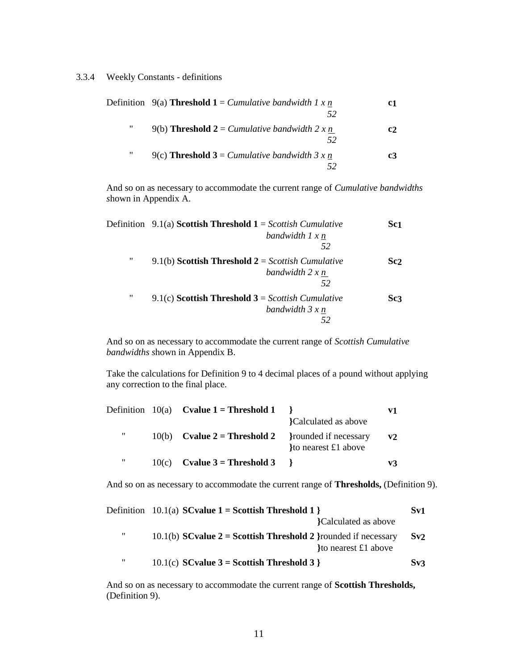#### 3.3.4 Weekly Constants - definitions

|   | Definition 9(a) <b>Threshold 1</b> = <i>Cumulative bandwidth 1 x n</i> | c1             |
|---|------------------------------------------------------------------------|----------------|
| " | 9(b) <b>Threshold 2</b> = <i>Cumulative bandwidth</i> 2 x n            | c <sub>2</sub> |
| " | 9(c) <b>Threshold 3</b> = <i>Cumulative bandwidth</i> 3 x n            | c3             |

And so on as necessary to accommodate the current range of *Cumulative bandwidths s*hown in Appendix A.

|   | Definition $9.1(a)$ Scottish Threshold $1 =$ Scottish Cumulative | Sc <sub>1</sub> |
|---|------------------------------------------------------------------|-----------------|
|   | bandwidth $1 x n$                                                |                 |
|   | 52                                                               |                 |
| " | 9.1(b) Scottish Threshold $2 =$ Scottish Cumulative              | Sc <sub>2</sub> |
|   | bandwidth 2 x n                                                  |                 |
|   | 52                                                               |                 |
| " | 9.1(c) <b>Scottish Threshold 3</b> = <i>Scottish Cumulative</i>  | Sc <sub>3</sub> |
|   | bandwidth $3x$ n                                                 |                 |
|   |                                                                  |                 |

And so on as necessary to accommodate the current range of *Scottish Cumulative bandwidths s*hown in Appendix B.

Take the calculations for Definition 9 to 4 decimal places of a pound without applying any correction to the final place.

|   |       | Definition $10(a)$ Cvalue 1 = Threshold 1 |                                             | V1             |
|---|-------|-------------------------------------------|---------------------------------------------|----------------|
|   |       |                                           | Calculated as above                         |                |
| " | 10(b) | Cvalue $2 =$ Threshold 2                  | rounded if necessary<br>to nearest £1 above | V <sub>2</sub> |
| " | 10(c) | Cvalue $3 =$ Threshold 3                  |                                             | v3             |

And so on as necessary to accommodate the current range of **Thresholds,** (Definition 9).

|   | Definition $10.1(a)$ SC value $1 =$ Scottish Threshold 1 }                                | Sv1 |
|---|-------------------------------------------------------------------------------------------|-----|
|   | Calculated as above                                                                       |     |
| " | 10.1(b) SC value $2 =$ Scottish Threshold 2 } rounded if necessary<br>to nearest £1 above | Sv2 |
| " | 10.1(c) SC value $3 =$ Scottish Threshold 3 }                                             | Sv3 |

And so on as necessary to accommodate the current range of **Scottish Thresholds,**  (Definition 9).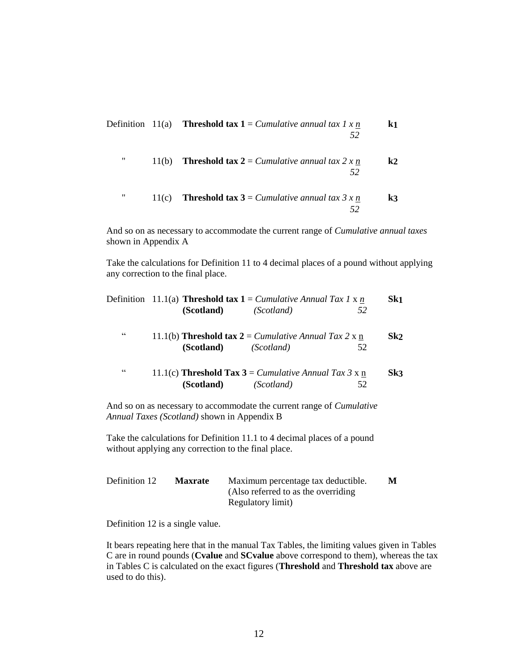| k1             | Definition 11(a) <b>Threshold tax 1</b> = <i>Cumulative annual tax 1 x n</i><br>52 |       |   |
|----------------|------------------------------------------------------------------------------------|-------|---|
| $\mathbf{k}$   | <b>Threshold tax 2</b> = <i>Cumulative annual tax 2 x n</i><br>52                  | 11(b) | " |
| $\mathbf{k}$ 3 | <b>Threshold tax 3</b> = <i>Cumulative annual tax 3 x n</i>                        | 11(c) | " |

And so on as necessary to accommodate the current range of *Cumulative annual taxes*  shown in Appendix A

Take the calculations for Definition 11 to 4 decimal places of a pound without applying any correction to the final place.

|                 | Definition 11.1(a) <b>Threshold tax 1</b> = <i>Cumulative Annual Tax 1</i> x n                  |            |    | Sk <sub>1</sub> |
|-----------------|-------------------------------------------------------------------------------------------------|------------|----|-----------------|
|                 | (Scotland)                                                                                      | (Scotland) | 52 |                 |
| $\zeta$ $\zeta$ | 11.1(b) <b>Threshold tax</b> $2 =$ <i>Cumulative Annual Tax</i> 2 x n<br>(Scotland)             | (Scotland) | 52 | Sk2             |
| C               | 11.1(c) <b>Threshold Tax 3</b> = <i>Cumulative Annual Tax 3</i> x $\underline{n}$<br>(Scotland) | (Scotland) | 52 | Sk3             |

And so on as necessary to accommodate the current range of *Cumulative Annual Taxes (Scotland)* shown in Appendix B

Take the calculations for Definition 11.1 to 4 decimal places of a pound without applying any correction to the final place.

| Definition 12 | <b>Maxrate</b> | Maximum percentage tax deductible.  | М |
|---------------|----------------|-------------------------------------|---|
|               |                | (Also referred to as the overriding |   |
|               |                | Regulatory limit)                   |   |

Definition 12 is a single value.

It bears repeating here that in the manual Tax Tables, the limiting values given in Tables C are in round pounds (**Cvalue** and **SCvalue** above correspond to them), whereas the tax in Tables C is calculated on the exact figures (**Threshold** and **Threshold tax** above are used to do this).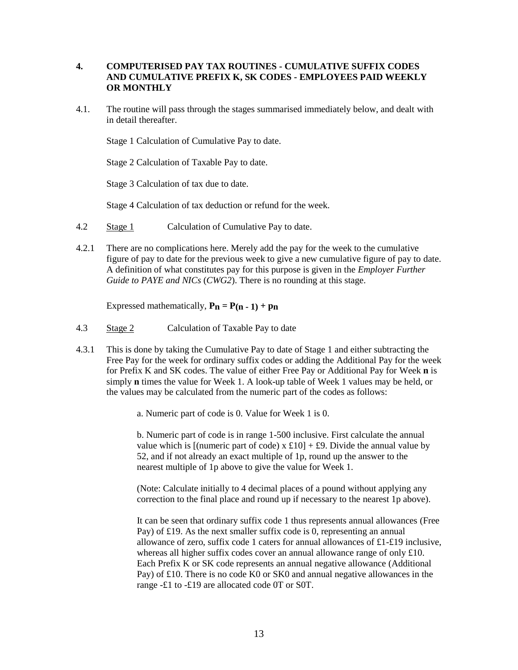## **4. COMPUTERISED PAY TAX ROUTINES - CUMULATIVE SUFFIX CODES AND CUMULATIVE PREFIX K, SK CODES - EMPLOYEES PAID WEEKLY OR MONTHLY**

4.1. The routine will pass through the stages summarised immediately below, and dealt with in detail thereafter.

Stage 1 Calculation of Cumulative Pay to date.

Stage 2 Calculation of Taxable Pay to date.

Stage 3 Calculation of tax due to date.

Stage 4 Calculation of tax deduction or refund for the week.

- 4.2 Stage 1 Calculation of Cumulative Pay to date.
- 4.2.1 There are no complications here. Merely add the pay for the week to the cumulative figure of pay to date for the previous week to give a new cumulative figure of pay to date. A definition of what constitutes pay for this purpose is given in the *Employer Further Guide to PAYE and NICs* (*CWG2*). There is no rounding at this stage.

Expressed mathematically,  $P_n = P(n-1) + p_n$ 

- 4.3 Stage 2 Calculation of Taxable Pay to date
- 4.3.1 This is done by taking the Cumulative Pay to date of Stage 1 and either subtracting the Free Pay for the week for ordinary suffix codes or adding the Additional Pay for the week for Prefix K and SK codes. The value of either Free Pay or Additional Pay for Week **n** is simply **n** times the value for Week 1. A look-up table of Week 1 values may be held, or the values may be calculated from the numeric part of the codes as follows:
	- a. Numeric part of code is 0. Value for Week 1 is 0.

b. Numeric part of code is in range 1-500 inclusive. First calculate the annual value which is  $[(\text{numeric part of code}) \times \pounds10] + \pounds9$ . Divide the annual value by 52, and if not already an exact multiple of 1p, round up the answer to the nearest multiple of 1p above to give the value for Week 1.

(Note: Calculate initially to 4 decimal places of a pound without applying any correction to the final place and round up if necessary to the nearest 1p above).

It can be seen that ordinary suffix code 1 thus represents annual allowances (Free Pay) of £19. As the next smaller suffix code is 0, representing an annual allowance of zero, suffix code 1 caters for annual allowances of £1-£19 inclusive, whereas all higher suffix codes cover an annual allowance range of only £10. Each Prefix K or SK code represents an annual negative allowance (Additional Pay) of £10. There is no code K0 or SK0 and annual negative allowances in the range -£1 to -£19 are allocated code 0T or S0T.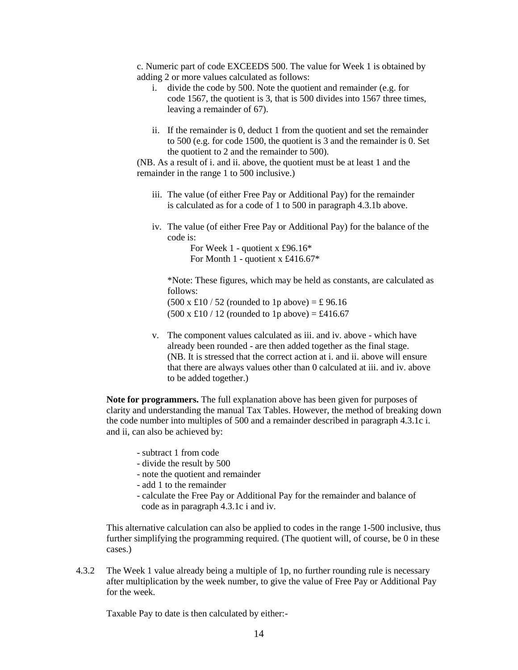c. Numeric part of code EXCEEDS 500. The value for Week 1 is obtained by adding 2 or more values calculated as follows:

- i. divide the code by 500. Note the quotient and remainder (e.g. for code 1567, the quotient is 3, that is 500 divides into 1567 three times, leaving a remainder of 67).
- ii. If the remainder is 0, deduct 1 from the quotient and set the remainder to 500 (e.g. for code 1500, the quotient is 3 and the remainder is 0. Set the quotient to 2 and the remainder to 500).

(NB. As a result of i. and ii. above, the quotient must be at least 1 and the remainder in the range 1 to 500 inclusive.)

- iii. The value (of either Free Pay or Additional Pay) for the remainder is calculated as for a code of 1 to 500 in paragraph 4.3.1b above.
- iv. The value (of either Free Pay or Additional Pay) for the balance of the code is:

For Week 1 - quotient x £96.16\* For Month 1 - quotient x £416.67\*

\*Note: These figures, which may be held as constants, are calculated as follows:

 $(500 \times £10 / 52$  (rounded to 1p above) = £ 96.16  $(500 \times £10 / 12$  (rounded to 1p above) = £416.67

v. The component values calculated as iii. and iv. above - which have already been rounded - are then added together as the final stage. (NB. It is stressed that the correct action at i. and ii. above will ensure that there are always values other than 0 calculated at iii. and iv. above to be added together.)

**Note for programmers.** The full explanation above has been given for purposes of clarity and understanding the manual Tax Tables. However, the method of breaking down the code number into multiples of 500 and a remainder described in paragraph 4.3.1c i. and ii, can also be achieved by:

- subtract 1 from code
- divide the result by 500
- note the quotient and remainder
- add 1 to the remainder
- calculate the Free Pay or Additional Pay for the remainder and balance of code as in paragraph 4.3.1c i and iv.

This alternative calculation can also be applied to codes in the range 1-500 inclusive, thus further simplifying the programming required. (The quotient will, of course, be 0 in these cases.)

4.3.2 The Week 1 value already being a multiple of 1p, no further rounding rule is necessary after multiplication by the week number, to give the value of Free Pay or Additional Pay for the week.

Taxable Pay to date is then calculated by either:-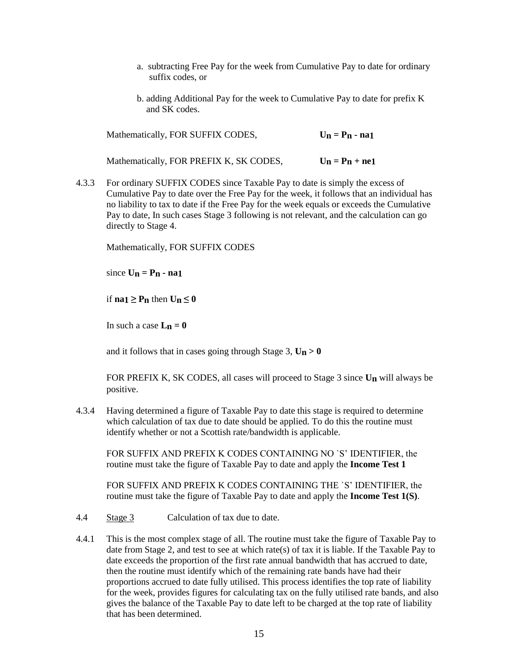- a. subtracting Free Pay for the week from Cumulative Pay to date for ordinary suffix codes, or
- b. adding Additional Pay for the week to Cumulative Pay to date for prefix K and SK codes.

| Mathematically, FOR SUFFIX CODES,       | $U_n = P_n - na1$ |
|-----------------------------------------|-------------------|
| Mathematically, FOR PREFIX K, SK CODES, | $U_n = P_n + ne1$ |

4.3.3 For ordinary SUFFIX CODES since Taxable Pay to date is simply the excess of Cumulative Pay to date over the Free Pay for the week, it follows that an individual has no liability to tax to date if the Free Pay for the week equals or exceeds the Cumulative Pay to date, In such cases Stage 3 following is not relevant, and the calculation can go directly to Stage 4.

Mathematically, FOR SUFFIX CODES

 $\sin$   $\cos$  **Un** = **Pn - na1** 

if  $na_1 \geq P_n$  then  $U_n \leq 0$ 

In such a case  $L_n = 0$ 

and it follows that in cases going through Stage 3,  $\mathbf{U}_n > 0$ 

FOR PREFIX K, SK CODES, all cases will proceed to Stage 3 since **Un** will always be positive.

4.3.4 Having determined a figure of Taxable Pay to date this stage is required to determine which calculation of tax due to date should be applied. To do this the routine must identify whether or not a Scottish rate/bandwidth is applicable.

FOR SUFFIX AND PREFIX K CODES CONTAINING NO `S' IDENTIFIER, the routine must take the figure of Taxable Pay to date and apply the **Income Test 1**

FOR SUFFIX AND PREFIX K CODES CONTAINING THE `S' IDENTIFIER, the routine must take the figure of Taxable Pay to date and apply the **Income Test 1(S)**.

- 4.4 Stage 3 Calculation of tax due to date.
- 4.4.1 This is the most complex stage of all. The routine must take the figure of Taxable Pay to date from Stage 2, and test to see at which rate(s) of tax it is liable. If the Taxable Pay to date exceeds the proportion of the first rate annual bandwidth that has accrued to date, then the routine must identify which of the remaining rate bands have had their proportions accrued to date fully utilised. This process identifies the top rate of liability for the week, provides figures for calculating tax on the fully utilised rate bands, and also gives the balance of the Taxable Pay to date left to be charged at the top rate of liability that has been determined.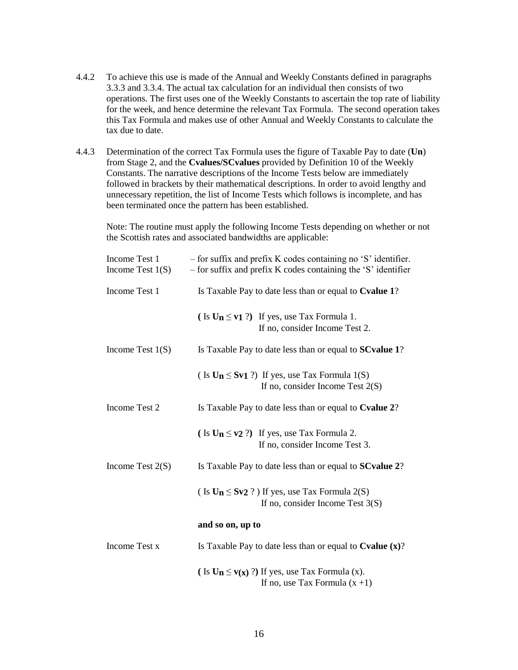- 4.4.2 To achieve this use is made of the Annual and Weekly Constants defined in paragraphs 3.3.3 and 3.3.4. The actual tax calculation for an individual then consists of two operations. The first uses one of the Weekly Constants to ascertain the top rate of liability for the week, and hence determine the relevant Tax Formula. The second operation takes this Tax Formula and makes use of other Annual and Weekly Constants to calculate the tax due to date.
- 4.4.3 Determination of the correct Tax Formula uses the figure of Taxable Pay to date (**Un**) from Stage 2, and the **Cvalues/SCvalues** provided by Definition 10 of the Weekly Constants. The narrative descriptions of the Income Tests below are immediately followed in brackets by their mathematical descriptions. In order to avoid lengthy and unnecessary repetition, the list of Income Tests which follows is incomplete, and has been terminated once the pattern has been established.

Note: The routine must apply the following Income Tests depending on whether or not the Scottish rates and associated bandwidths are applicable:

| Income Test 1<br>Income Test $1(S)$ | - for suffix and prefix K codes containing no 'S' identifier.<br>- for suffix and prefix K codes containing the 'S' identifier |
|-------------------------------------|--------------------------------------------------------------------------------------------------------------------------------|
| Income Test 1                       | Is Taxable Pay to date less than or equal to Cvalue 1?                                                                         |
|                                     | (Is $U_n \le v_1$ ?) If yes, use Tax Formula 1.<br>If no, consider Income Test 2.                                              |
| Income Test $1(S)$                  | Is Taxable Pay to date less than or equal to <b>SC value 1</b> ?                                                               |
|                                     | (Is $U_n \le Sv1$ ?) If yes, use Tax Formula 1(S)<br>If no, consider Income Test $2(S)$                                        |
| Income Test 2                       | Is Taxable Pay to date less than or equal to Cvalue 2?                                                                         |
|                                     | (Is $\text{U}_n \leq \text{v2}$ ?) If yes, use Tax Formula 2.<br>If no, consider Income Test 3.                                |
| Income Test $2(S)$                  | Is Taxable Pay to date less than or equal to <b>SC value 2</b> ?                                                               |
|                                     | (Is $U_n \le Sv2$ ?) If yes, use Tax Formula 2(S)<br>If no, consider Income Test $3(S)$                                        |
|                                     | and so on, up to                                                                                                               |
| Income Test x                       | Is Taxable Pay to date less than or equal to $Cvalue(x)$ ?                                                                     |
|                                     | (Is $U_n \le v(x)$ ?) If yes, use Tax Formula (x).<br>If no, use Tax Formula $(x + 1)$                                         |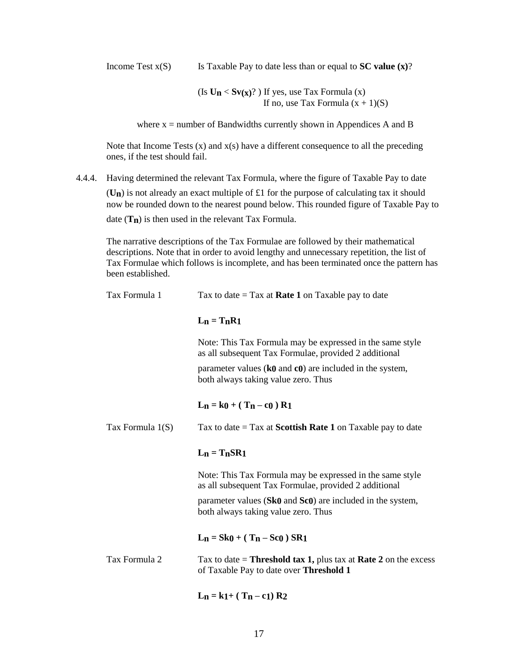Income Test  $x(S)$  Is Taxable Pay to date less than or equal to **SC value (x)**?

(Is  $U_n < Sv(x)$ ?) If yes, use Tax Formula (x) If no, use Tax Formula  $(x + 1)(S)$ 

where  $x =$  number of Bandwidths currently shown in Appendices A and B

Note that Income Tests  $(x)$  and  $x(s)$  have a different consequence to all the preceding ones, if the test should fail.

4.4.4. Having determined the relevant Tax Formula, where the figure of Taxable Pay to date (**Un**) is not already an exact multiple of £1 for the purpose of calculating tax it should now be rounded down to the nearest pound below. This rounded figure of Taxable Pay to date (**Tn**) is then used in the relevant Tax Formula.

The narrative descriptions of the Tax Formulae are followed by their mathematical descriptions. Note that in order to avoid lengthy and unnecessary repetition, the list of Tax Formulae which follows is incomplete, and has been terminated once the pattern has been established.

| Tax Formula 1    | Tax to date $=$ Tax at <b>Rate 1</b> on Taxable pay to date                                                              |  |
|------------------|--------------------------------------------------------------------------------------------------------------------------|--|
|                  | $L_n = T_nR_1$                                                                                                           |  |
|                  | Note: This Tax Formula may be expressed in the same style<br>as all subsequent Tax Formulae, provided 2 additional       |  |
|                  | parameter values $(k0 \text{ and } c0)$ are included in the system,<br>both always taking value zero. Thus               |  |
|                  | $L_n = k0 + (T_n - c_0) R_1$                                                                                             |  |
| Tax Formula 1(S) | Tax to date $=$ Tax at <b>Scottish Rate 1</b> on Taxable pay to date                                                     |  |
|                  | $L_n = T_n S R_1$                                                                                                        |  |
|                  | Note: This Tax Formula may be expressed in the same style<br>as all subsequent Tax Formulae, provided 2 additional       |  |
|                  | parameter values ( $Sk0$ and $Sc0$ ) are included in the system,<br>both always taking value zero. Thus                  |  |
|                  | $L_n = Sk0 + (T_n - Sc0) SR1$                                                                                            |  |
| Tax Formula 2    | Tax to date = <b>Threshold tax 1,</b> plus tax at <b>Rate 2</b> on the excess<br>of Taxable Pay to date over Threshold 1 |  |
|                  | $L_n = k1 + (T_n - c1) R2$                                                                                               |  |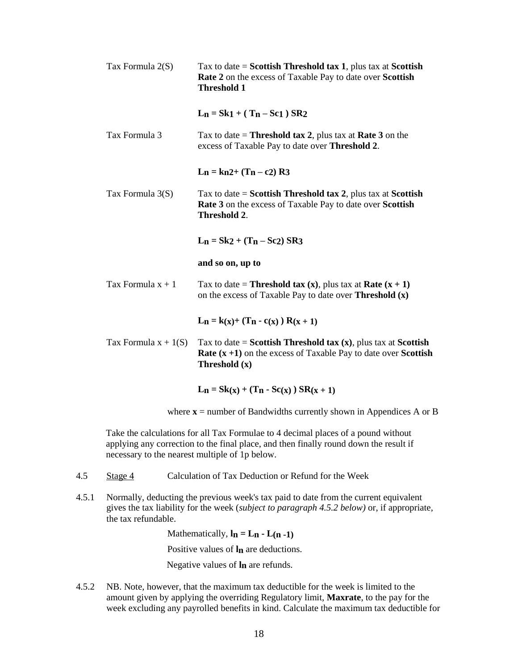| Tax Formula $2(S)$     | Tax to date = Scottish Threshold tax 1, plus tax at Scottish<br><b>Rate 2</b> on the excess of Taxable Pay to date over <b>Scottish</b><br><b>Threshold 1</b>           |
|------------------------|-------------------------------------------------------------------------------------------------------------------------------------------------------------------------|
|                        | $L_n = Sk1 + (T_n - Sc1) SR2$                                                                                                                                           |
| Tax Formula 3          | Tax to date = <b>Threshold tax 2</b> , plus tax at <b>Rate 3</b> on the<br>excess of Taxable Pay to date over Threshold 2.                                              |
|                        | $L_n = kn2+(T_n - c2) R3$                                                                                                                                               |
| Tax Formula $3(S)$     | Tax to date = Scottish Threshold tax 2, plus tax at Scottish<br>Rate 3 on the excess of Taxable Pay to date over Scottish<br>Threshold 2.                               |
|                        | $L_n = Sk2 + (T_n - Sc2) SR3$                                                                                                                                           |
|                        | and so on, up to                                                                                                                                                        |
| Tax Formula $x + 1$    | Tax to date = <b>Threshold tax</b> ( <b>x</b> ), plus tax at <b>Rate</b> $(x + 1)$<br>on the excess of Taxable Pay to date over <b>Threshold</b> (x)                    |
|                        | $L_n = k(x) + (T_n - c(x)) R(x + 1)$                                                                                                                                    |
| Tax Formula $x + 1(S)$ | Tax to date = Scottish Threshold tax $(x)$ , plus tax at Scottish<br><b>Rate</b> $(x + 1)$ on the excess of Taxable Pay to date over <b>Scottish</b><br>Threshold $(x)$ |
|                        | $L_n = Sk(x) + (T_n - Sc(x)) SR(x + 1)$                                                                                                                                 |
|                        | where $x =$ number of Bandwidths currently shown in Appendices A or B                                                                                                   |

Take the calculations for all Tax Formulae to 4 decimal places of a pound without applying any correction to the final place, and then finally round down the result if necessary to the nearest multiple of 1p below.

- 4.5 Stage 4 Calculation of Tax Deduction or Refund for the Week
- 4.5.1 Normally, deducting the previous week's tax paid to date from the current equivalent gives the tax liability for the week (*subject to paragraph 4.5.2 below)* or, if appropriate, the tax refundable.

Mathematically,  $\mathbf{l}_n = \mathbf{L}_n - \mathbf{L}(\mathbf{n} - \mathbf{1})$ 

Positive values of **ln** are deductions.

Negative values of **ln** are refunds.

4.5.2 NB. Note, however, that the maximum tax deductible for the week is limited to the amount given by applying the overriding Regulatory limit, **Maxrate**, to the pay for the week excluding any payrolled benefits in kind. Calculate the maximum tax deductible for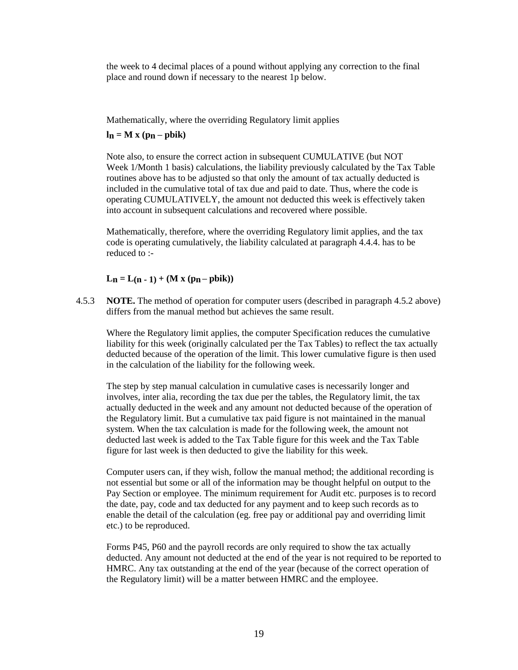the week to 4 decimal places of a pound without applying any correction to the final place and round down if necessary to the nearest 1p below.

Mathematically, where the overriding Regulatory limit applies

## $\mathbf{h}_n = \mathbf{M} \times (\mathbf{p}_n - \mathbf{p} \mathbf{b} \mathbf{i} \mathbf{k})$

Note also, to ensure the correct action in subsequent CUMULATIVE (but NOT Week 1/Month 1 basis) calculations, the liability previously calculated by the Tax Table routines above has to be adjusted so that only the amount of tax actually deducted is included in the cumulative total of tax due and paid to date. Thus, where the code is operating CUMULATIVELY, the amount not deducted this week is effectively taken into account in subsequent calculations and recovered where possible.

Mathematically, therefore, where the overriding Regulatory limit applies, and the tax code is operating cumulatively, the liability calculated at paragraph 4.4.4. has to be reduced to :-

## $L_n = L(n-1) + (M x (p_n - \text{pbik}))$

4.5.3 **NOTE.** The method of operation for computer users (described in paragraph 4.5.2 above) differs from the manual method but achieves the same result.

Where the Regulatory limit applies, the computer Specification reduces the cumulative liability for this week (originally calculated per the Tax Tables) to reflect the tax actually deducted because of the operation of the limit. This lower cumulative figure is then used in the calculation of the liability for the following week.

The step by step manual calculation in cumulative cases is necessarily longer and involves, inter alia, recording the tax due per the tables, the Regulatory limit, the tax actually deducted in the week and any amount not deducted because of the operation of the Regulatory limit. But a cumulative tax paid figure is not maintained in the manual system. When the tax calculation is made for the following week, the amount not deducted last week is added to the Tax Table figure for this week and the Tax Table figure for last week is then deducted to give the liability for this week.

Computer users can, if they wish, follow the manual method; the additional recording is not essential but some or all of the information may be thought helpful on output to the Pay Section or employee. The minimum requirement for Audit etc. purposes is to record the date, pay, code and tax deducted for any payment and to keep such records as to enable the detail of the calculation (eg. free pay or additional pay and overriding limit etc.) to be reproduced.

Forms P45, P60 and the payroll records are only required to show the tax actually deducted. Any amount not deducted at the end of the year is not required to be reported to HMRC. Any tax outstanding at the end of the year (because of the correct operation of the Regulatory limit) will be a matter between HMRC and the employee.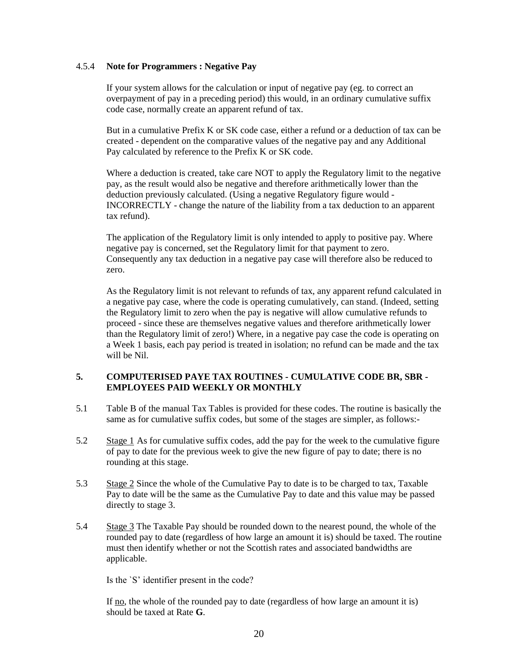## 4.5.4 **Note for Programmers : Negative Pay**

If your system allows for the calculation or input of negative pay (eg. to correct an overpayment of pay in a preceding period) this would, in an ordinary cumulative suffix code case, normally create an apparent refund of tax.

But in a cumulative Prefix K or SK code case, either a refund or a deduction of tax can be created - dependent on the comparative values of the negative pay and any Additional Pay calculated by reference to the Prefix K or SK code.

Where a deduction is created, take care NOT to apply the Regulatory limit to the negative pay, as the result would also be negative and therefore arithmetically lower than the deduction previously calculated. (Using a negative Regulatory figure would - INCORRECTLY - change the nature of the liability from a tax deduction to an apparent tax refund).

The application of the Regulatory limit is only intended to apply to positive pay. Where negative pay is concerned, set the Regulatory limit for that payment to zero. Consequently any tax deduction in a negative pay case will therefore also be reduced to zero.

As the Regulatory limit is not relevant to refunds of tax, any apparent refund calculated in a negative pay case, where the code is operating cumulatively, can stand. (Indeed, setting the Regulatory limit to zero when the pay is negative will allow cumulative refunds to proceed - since these are themselves negative values and therefore arithmetically lower than the Regulatory limit of zero!) Where, in a negative pay case the code is operating on a Week 1 basis, each pay period is treated in isolation; no refund can be made and the tax will be Nil.

## **5. COMPUTERISED PAYE TAX ROUTINES - CUMULATIVE CODE BR, SBR - EMPLOYEES PAID WEEKLY OR MONTHLY**

- 5.1 Table B of the manual Tax Tables is provided for these codes. The routine is basically the same as for cumulative suffix codes, but some of the stages are simpler, as follows:-
- 5.2 Stage 1 As for cumulative suffix codes, add the pay for the week to the cumulative figure of pay to date for the previous week to give the new figure of pay to date; there is no rounding at this stage.
- 5.3 Stage 2 Since the whole of the Cumulative Pay to date is to be charged to tax, Taxable Pay to date will be the same as the Cumulative Pay to date and this value may be passed directly to stage 3.
- 5.4 Stage 3 The Taxable Pay should be rounded down to the nearest pound, the whole of the rounded pay to date (regardless of how large an amount it is) should be taxed. The routine must then identify whether or not the Scottish rates and associated bandwidths are applicable.

Is the `S' identifier present in the code?

If no, the whole of the rounded pay to date (regardless of how large an amount it is) should be taxed at Rate **G**.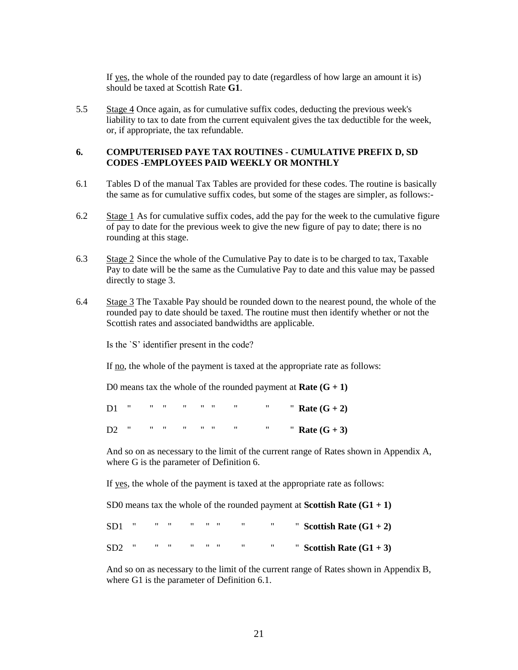If yes, the whole of the rounded pay to date (regardless of how large an amount it is) should be taxed at Scottish Rate **G1**.

5.5 Stage 4 Once again, as for cumulative suffix codes, deducting the previous week's liability to tax to date from the current equivalent gives the tax deductible for the week, or, if appropriate, the tax refundable.

#### **6. COMPUTERISED PAYE TAX ROUTINES - CUMULATIVE PREFIX D, SD CODES -EMPLOYEES PAID WEEKLY OR MONTHLY**

- 6.1 Tables D of the manual Tax Tables are provided for these codes. The routine is basically the same as for cumulative suffix codes, but some of the stages are simpler, as follows:-
- 6.2 Stage 1 As for cumulative suffix codes, add the pay for the week to the cumulative figure of pay to date for the previous week to give the new figure of pay to date; there is no rounding at this stage.
- 6.3 Stage 2 Since the whole of the Cumulative Pay to date is to be charged to tax, Taxable Pay to date will be the same as the Cumulative Pay to date and this value may be passed directly to stage 3.
- 6.4 Stage 3 The Taxable Pay should be rounded down to the nearest pound, the whole of the rounded pay to date should be taxed. The routine must then identify whether or not the Scottish rates and associated bandwidths are applicable.

Is the `S' identifier present in the code?

If no, the whole of the payment is taxed at the appropriate rate as follows:

D0 means tax the whole of the rounded payment at **Rate**  $(G + 1)$ 

|  |  |  |  | D1 " " " " " " " Rate $(G + 2)$ |
|--|--|--|--|---------------------------------|
|  |  |  |  | D2 " " " " " " " Nate $(G + 3)$ |

And so on as necessary to the limit of the current range of Rates shown in Appendix A, where G is the parameter of Definition 6.

If yes, the whole of the payment is taxed at the appropriate rate as follows:

SD0 means tax the whole of the rounded payment at **Scottish Rate**  $(G1 + 1)$ 

|  |  |  | $SD1$ " " " " " " " " |  | " Scottish Rate $(G1 + 2)$ |
|--|--|--|-----------------------|--|----------------------------|
|  |  |  | $SD2$ """ """ "" "    |  | " Scottish Rate $(G1 + 3)$ |

And so on as necessary to the limit of the current range of Rates shown in Appendix B, where G1 is the parameter of Definition 6.1.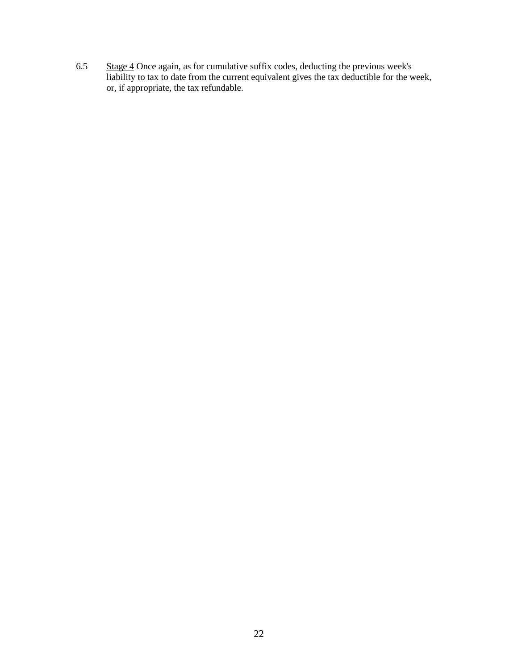6.5 Stage 4 Once again, as for cumulative suffix codes, deducting the previous week's liability to tax to date from the current equivalent gives the tax deductible for the week, or, if appropriate, the tax refundable.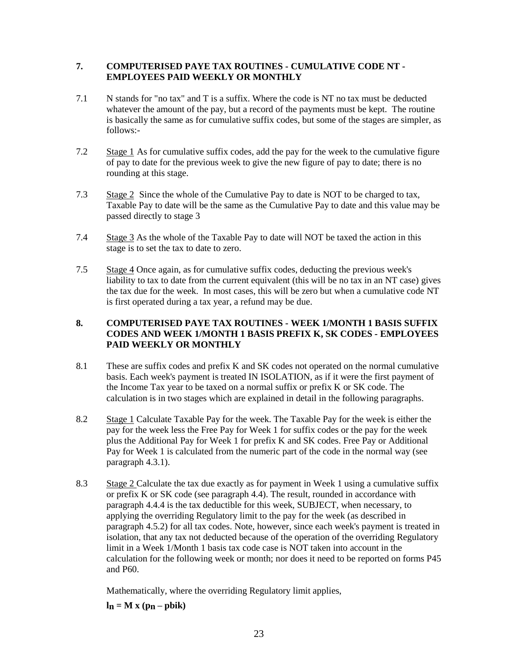## **7. COMPUTERISED PAYE TAX ROUTINES - CUMULATIVE CODE NT - EMPLOYEES PAID WEEKLY OR MONTHLY**

- 7.1 N stands for "no tax" and T is a suffix. Where the code is NT no tax must be deducted whatever the amount of the pay, but a record of the payments must be kept. The routine is basically the same as for cumulative suffix codes, but some of the stages are simpler, as follows:-
- 7.2 Stage 1 As for cumulative suffix codes, add the pay for the week to the cumulative figure of pay to date for the previous week to give the new figure of pay to date; there is no rounding at this stage.
- 7.3 Stage 2 Since the whole of the Cumulative Pay to date is NOT to be charged to tax, Taxable Pay to date will be the same as the Cumulative Pay to date and this value may be passed directly to stage 3
- 7.4 Stage 3 As the whole of the Taxable Pay to date will NOT be taxed the action in this stage is to set the tax to date to zero.
- 7.5 Stage 4 Once again, as for cumulative suffix codes, deducting the previous week's liability to tax to date from the current equivalent (this will be no tax in an NT case) gives the tax due for the week. In most cases, this will be zero but when a cumulative code NT is first operated during a tax year, a refund may be due.

# **8. COMPUTERISED PAYE TAX ROUTINES - WEEK 1/MONTH 1 BASIS SUFFIX CODES AND WEEK 1/MONTH 1 BASIS PREFIX K, SK CODES - EMPLOYEES PAID WEEKLY OR MONTHLY**

- 8.1 These are suffix codes and prefix K and SK codes not operated on the normal cumulative basis. Each week's payment is treated IN ISOLATION, as if it were the first payment of the Income Tax year to be taxed on a normal suffix or prefix K or SK code. The calculation is in two stages which are explained in detail in the following paragraphs.
- 8.2 Stage 1 Calculate Taxable Pay for the week. The Taxable Pay for the week is either the pay for the week less the Free Pay for Week 1 for suffix codes or the pay for the week plus the Additional Pay for Week 1 for prefix K and SK codes. Free Pay or Additional Pay for Week 1 is calculated from the numeric part of the code in the normal way (see paragraph 4.3.1).
- 8.3 Stage 2 Calculate the tax due exactly as for payment in Week 1 using a cumulative suffix or prefix K or SK code (see paragraph 4.4). The result, rounded in accordance with paragraph 4.4.4 is the tax deductible for this week, SUBJECT, when necessary, to applying the overriding Regulatory limit to the pay for the week (as described in paragraph 4.5.2) for all tax codes. Note, however, since each week's payment is treated in isolation, that any tax not deducted because of the operation of the overriding Regulatory limit in a Week 1/Month 1 basis tax code case is NOT taken into account in the calculation for the following week or month; nor does it need to be reported on forms P45 and P60.

Mathematically, where the overriding Regulatory limit applies,

 $\mathbf{ln} = \mathbf{M} \times (\mathbf{p}_n - \mathbf{pb} \mathbf{ik})$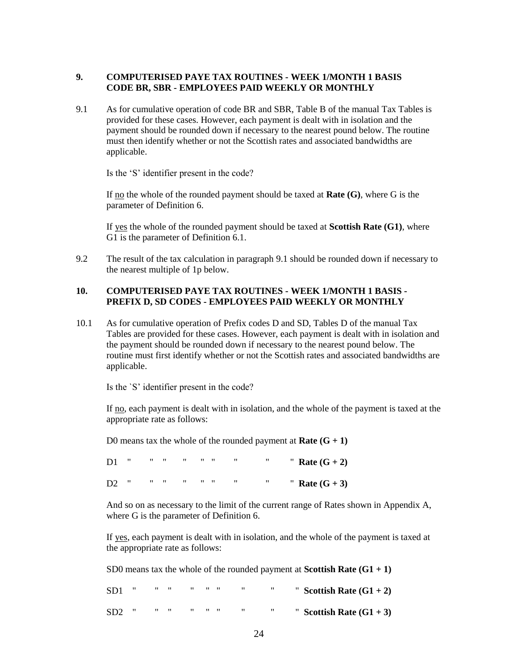## **9. COMPUTERISED PAYE TAX ROUTINES - WEEK 1/MONTH 1 BASIS CODE BR, SBR - EMPLOYEES PAID WEEKLY OR MONTHLY**

9.1 As for cumulative operation of code BR and SBR, Table B of the manual Tax Tables is provided for these cases. However, each payment is dealt with in isolation and the payment should be rounded down if necessary to the nearest pound below. The routine must then identify whether or not the Scottish rates and associated bandwidths are applicable.

Is the 'S' identifier present in the code?

If no the whole of the rounded payment should be taxed at **Rate (G)**, where G is the parameter of Definition 6.

If yes the whole of the rounded payment should be taxed at **Scottish Rate (G1)**, where G1 is the parameter of Definition 6.1.

9.2 The result of the tax calculation in paragraph 9.1 should be rounded down if necessary to the nearest multiple of 1p below.

## **10. COMPUTERISED PAYE TAX ROUTINES - WEEK 1/MONTH 1 BASIS - PREFIX D, SD CODES - EMPLOYEES PAID WEEKLY OR MONTHLY**

10.1 As for cumulative operation of Prefix codes D and SD, Tables D of the manual Tax Tables are provided for these cases. However, each payment is dealt with in isolation and the payment should be rounded down if necessary to the nearest pound below. The routine must first identify whether or not the Scottish rates and associated bandwidths are applicable.

Is the `S' identifier present in the code?

If no, each payment is dealt with in isolation, and the whole of the payment is taxed at the appropriate rate as follows:

D0 means tax the whole of the rounded payment at **Rate**  $(G + 1)$ 

|  |  |  |  | D1 " " " " " " " " Rate $(G + 2)$ |
|--|--|--|--|-----------------------------------|
|  |  |  |  | D2 " " " " " " " " Rate $(G + 3)$ |

And so on as necessary to the limit of the current range of Rates shown in Appendix A, where G is the parameter of Definition 6.

If yes, each payment is dealt with in isolation, and the whole of the payment is taxed at the appropriate rate as follows:

SD0 means tax the whole of the rounded payment at **Scottish Rate**  $(G1 + 1)$ 

| " Scottish Rate $(G1 + 2)$ | $SD1$ " " " " " " " " " |  |  |  |  |
|----------------------------|-------------------------|--|--|--|--|
| " Scottish Rate $(G1 + 3)$ | $SD2$ " " " " " " " " " |  |  |  |  |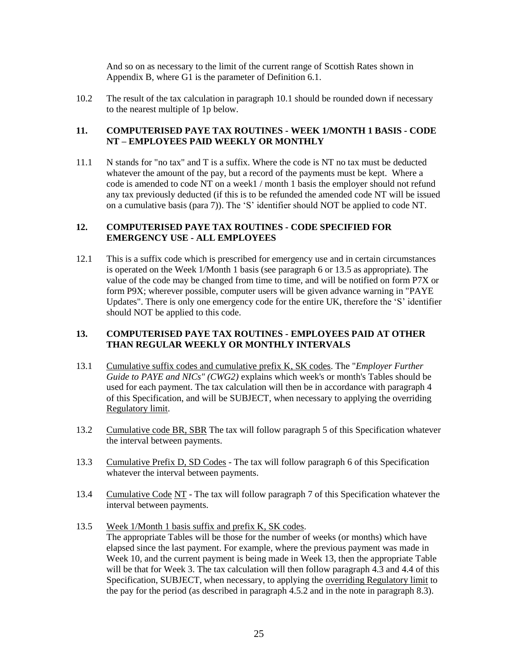And so on as necessary to the limit of the current range of Scottish Rates shown in Appendix B, where G1 is the parameter of Definition 6.1.

10.2 The result of the tax calculation in paragraph 10.1 should be rounded down if necessary to the nearest multiple of 1p below.

## **11. COMPUTERISED PAYE TAX ROUTINES - WEEK 1/MONTH 1 BASIS - CODE NT – EMPLOYEES PAID WEEKLY OR MONTHLY**

11.1 N stands for "no tax" and T is a suffix. Where the code is NT no tax must be deducted whatever the amount of the pay, but a record of the payments must be kept. Where a code is amended to code NT on a week1 / month 1 basis the employer should not refund any tax previously deducted (if this is to be refunded the amended code NT will be issued on a cumulative basis (para 7)). The 'S' identifier should NOT be applied to code NT.

## **12. COMPUTERISED PAYE TAX ROUTINES - CODE SPECIFIED FOR EMERGENCY USE - ALL EMPLOYEES**

12.1 This is a suffix code which is prescribed for emergency use and in certain circumstances is operated on the Week 1/Month 1 basis (see paragraph 6 or 13.5 as appropriate). The value of the code may be changed from time to time, and will be notified on form P7X or form P9X; wherever possible, computer users will be given advance warning in "PAYE Updates". There is only one emergency code for the entire UK, therefore the 'S' identifier should NOT be applied to this code.

## **13. COMPUTERISED PAYE TAX ROUTINES - EMPLOYEES PAID AT OTHER THAN REGULAR WEEKLY OR MONTHLY INTERVALS**

- 13.1 Cumulative suffix codes and cumulative prefix K, SK codes. The "*Employer Further Guide to PAYE and NICs" (CWG2)* explains which week's or month's Tables should be used for each payment. The tax calculation will then be in accordance with paragraph 4 of this Specification, and will be SUBJECT, when necessary to applying the overriding Regulatory limit.
- 13.2 Cumulative code BR, SBR The tax will follow paragraph 5 of this Specification whatever the interval between payments.
- 13.3 Cumulative Prefix D, SD Codes The tax will follow paragraph 6 of this Specification whatever the interval between payments.
- 13.4 Cumulative Code NT The tax will follow paragraph 7 of this Specification whatever the interval between payments.
- 13.5 Week 1/Month 1 basis suffix and prefix K, SK codes. The appropriate Tables will be those for the number of weeks (or months) which have elapsed since the last payment. For example, where the previous payment was made in Week 10, and the current payment is being made in Week 13, then the appropriate Table will be that for Week 3. The tax calculation will then follow paragraph  $\overline{4.3}$  and  $\overline{4.4}$  of this Specification, SUBJECT, when necessary, to applying the overriding Regulatory limit to the pay for the period (as described in paragraph 4.5.2 and in the note in paragraph 8.3).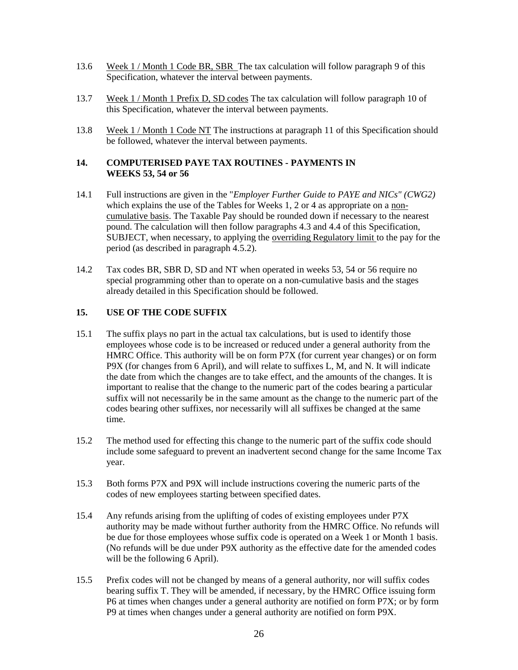- 13.6 Week 1 / Month 1 Code BR, SBR The tax calculation will follow paragraph 9 of this Specification, whatever the interval between payments.
- 13.7 Week 1 / Month 1 Prefix D, SD codes The tax calculation will follow paragraph 10 of this Specification, whatever the interval between payments.
- 13.8 Week 1 / Month 1 Code NT The instructions at paragraph 11 of this Specification should be followed, whatever the interval between payments.

### **14. COMPUTERISED PAYE TAX ROUTINES - PAYMENTS IN WEEKS 53, 54 or 56**

- 14.1 Full instructions are given in the "*Employer Further Guide to PAYE and NICs" (CWG2)*  which explains the use of the Tables for Weeks 1, 2 or 4 as appropriate on a noncumulative basis. The Taxable Pay should be rounded down if necessary to the nearest pound. The calculation will then follow paragraphs 4.3 and 4.4 of this Specification, SUBJECT, when necessary, to applying the overriding Regulatory limit to the pay for the period (as described in paragraph 4.5.2).
- 14.2 Tax codes BR, SBR D, SD and NT when operated in weeks 53, 54 or 56 require no special programming other than to operate on a non-cumulative basis and the stages already detailed in this Specification should be followed.

# **15. USE OF THE CODE SUFFIX**

- 15.1 The suffix plays no part in the actual tax calculations, but is used to identify those employees whose code is to be increased or reduced under a general authority from the HMRC Office. This authority will be on form P7X (for current year changes) or on form P9X (for changes from 6 April), and will relate to suffixes L, M, and N. It will indicate the date from which the changes are to take effect, and the amounts of the changes. It is important to realise that the change to the numeric part of the codes bearing a particular suffix will not necessarily be in the same amount as the change to the numeric part of the codes bearing other suffixes, nor necessarily will all suffixes be changed at the same time.
- 15.2 The method used for effecting this change to the numeric part of the suffix code should include some safeguard to prevent an inadvertent second change for the same Income Tax year.
- 15.3 Both forms P7X and P9X will include instructions covering the numeric parts of the codes of new employees starting between specified dates.
- 15.4 Any refunds arising from the uplifting of codes of existing employees under P7X authority may be made without further authority from the HMRC Office. No refunds will be due for those employees whose suffix code is operated on a Week 1 or Month 1 basis. (No refunds will be due under P9X authority as the effective date for the amended codes will be the following 6 April).
- 15.5 Prefix codes will not be changed by means of a general authority, nor will suffix codes bearing suffix T. They will be amended, if necessary, by the HMRC Office issuing form P6 at times when changes under a general authority are notified on form P7X; or by form P9 at times when changes under a general authority are notified on form P9X.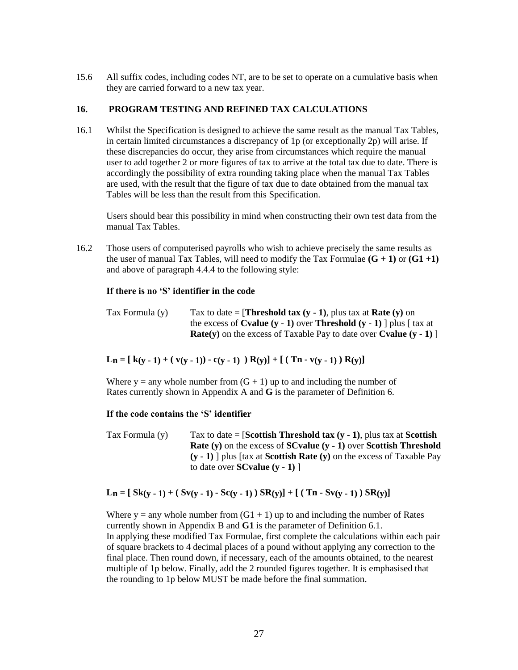15.6 All suffix codes, including codes NT, are to be set to operate on a cumulative basis when they are carried forward to a new tax year.

### **16. PROGRAM TESTING AND REFINED TAX CALCULATIONS**

16.1 Whilst the Specification is designed to achieve the same result as the manual Tax Tables, in certain limited circumstances a discrepancy of 1p (or exceptionally 2p) will arise. If these discrepancies do occur, they arise from circumstances which require the manual user to add together 2 or more figures of tax to arrive at the total tax due to date. There is accordingly the possibility of extra rounding taking place when the manual Tax Tables are used, with the result that the figure of tax due to date obtained from the manual tax Tables will be less than the result from this Specification.

Users should bear this possibility in mind when constructing their own test data from the manual Tax Tables.

16.2 Those users of computerised payrolls who wish to achieve precisely the same results as the user of manual Tax Tables, will need to modify the Tax Formulae  $(G + 1)$  or  $(G1 +1)$ and above of paragraph 4.4.4 to the following style:

#### **If there is no 'S' identifier in the code**

| Tax Formula (y) | Tax to date = [ <b>Threshold tax (y - 1)</b> , plus tax at <b>Rate (y)</b> on                            |
|-----------------|----------------------------------------------------------------------------------------------------------|
|                 | the excess of <b>Cyalue</b> $(y - 1)$ over <b>Threshold</b> $(y - 1)$ plus $\lceil \text{tax at} \rceil$ |
|                 | <b>Rate(y)</b> on the excess of Taxable Pay to date over <b>Cyalue (y - 1)</b> ]                         |

 $\mathbf{L}_n = [\mathbf{k}(\mathbf{y} - \mathbf{1}) + (\mathbf{v}(\mathbf{y} - \mathbf{1})) - \mathbf{c}(\mathbf{y} - \mathbf{1})] \mathbf{R}(\mathbf{y}) + [ (\mathbf{T}_n - \mathbf{v}(\mathbf{y} - \mathbf{1})) \mathbf{R}(\mathbf{y}) ]$ 

Where  $y =$  any whole number from  $(G + 1)$  up to and including the number of Rates currently shown in Appendix A and **G** is the parameter of Definition 6.

#### **If the code contains the 'S' identifier**

Tax Formula (y) Tax to date = [**Scottish Threshold tax (y - 1)**, plus tax at **Scottish Rate (y)** on the excess of **SCvalue (y - 1)** over **Scottish Threshold (y - 1)** ] plus [tax at **Scottish Rate (y)** on the excess of Taxable Pay to date over **SCvalue (y - 1)** ]

## L<sub>n</sub> =  $[Sk(y - 1) + (Sv(y - 1) - Sc(y - 1)) SR(y)] + [(Tn - Sv(y - 1)) SR(y)]$

Where  $y = any$  whole number from  $(G1 + 1)$  up to and including the number of Rates currently shown in Appendix B and **G1** is the parameter of Definition 6.1. In applying these modified Tax Formulae, first complete the calculations within each pair of square brackets to 4 decimal places of a pound without applying any correction to the final place. Then round down, if necessary, each of the amounts obtained, to the nearest multiple of 1p below. Finally, add the 2 rounded figures together. It is emphasised that the rounding to 1p below MUST be made before the final summation.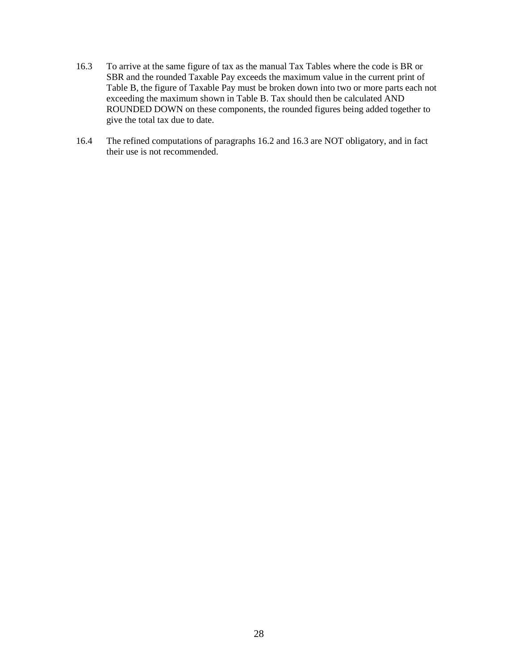- 16.3 To arrive at the same figure of tax as the manual Tax Tables where the code is BR or SBR and the rounded Taxable Pay exceeds the maximum value in the current print of Table B, the figure of Taxable Pay must be broken down into two or more parts each not exceeding the maximum shown in Table B. Tax should then be calculated AND ROUNDED DOWN on these components, the rounded figures being added together to give the total tax due to date.
- 16.4 The refined computations of paragraphs 16.2 and 16.3 are NOT obligatory, and in fact their use is not recommended.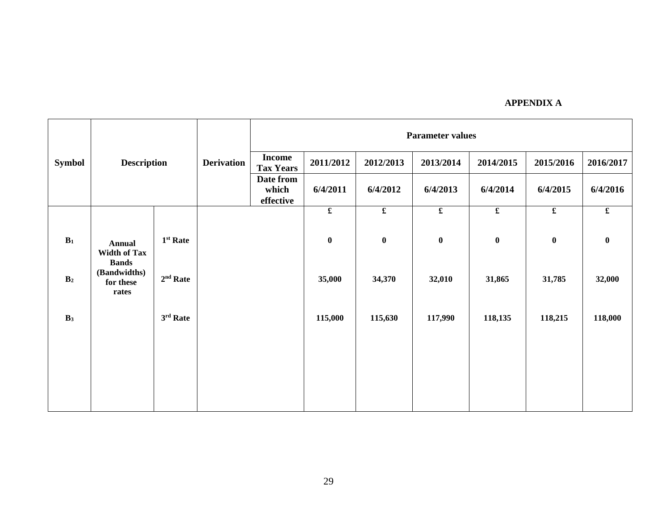|                | <b>Description</b><br><b>Symbol</b>                  |            |                   | <b>Parameter values</b>           |                      |                      |                      |                         |                      |                      |  |  |
|----------------|------------------------------------------------------|------------|-------------------|-----------------------------------|----------------------|----------------------|----------------------|-------------------------|----------------------|----------------------|--|--|
|                |                                                      |            | <b>Derivation</b> | <b>Income</b><br><b>Tax Years</b> | 2011/2012            | 2012/2013            | 2013/2014            | 2014/2015               | 2015/2016            | 2016/2017            |  |  |
|                |                                                      |            |                   | Date from<br>which<br>effective   | 6/4/2011             | 6/4/2012             | 6/4/2013             | 6/4/2014                | 6/4/2015             | 6/4/2016             |  |  |
|                |                                                      |            |                   |                                   | $\pmb{\mathfrak{L}}$ | $\pmb{\mathfrak{L}}$ | $\pmb{\mathfrak{L}}$ | $\overline{\mathbf{f}}$ | $\pmb{\mathfrak{L}}$ | $\pmb{\mathfrak{L}}$ |  |  |
| $B_1$          | <b>Annual</b><br><b>Width of Tax</b><br><b>Bands</b> | $1st$ Rate |                   |                                   | $\bf{0}$             | $\pmb{0}$            | $\pmb{0}$            | $\boldsymbol{0}$        | $\bf{0}$             | $\pmb{0}$            |  |  |
| B <sub>2</sub> | (Bandwidths)<br>for these<br>rates                   | $2nd$ Rate |                   |                                   | 35,000               | 34,370               | 32,010               | 31,865                  | 31,785               | 32,000               |  |  |
| B <sub>3</sub> |                                                      | $3rd$ Rate |                   |                                   | 115,000              | 115,630              | 117,990              | 118,135                 | 118,215              | 118,000              |  |  |
|                |                                                      |            |                   |                                   |                      |                      |                      |                         |                      |                      |  |  |
|                |                                                      |            |                   |                                   |                      |                      |                      |                         |                      |                      |  |  |
|                |                                                      |            |                   |                                   |                      |                      |                      |                         |                      |                      |  |  |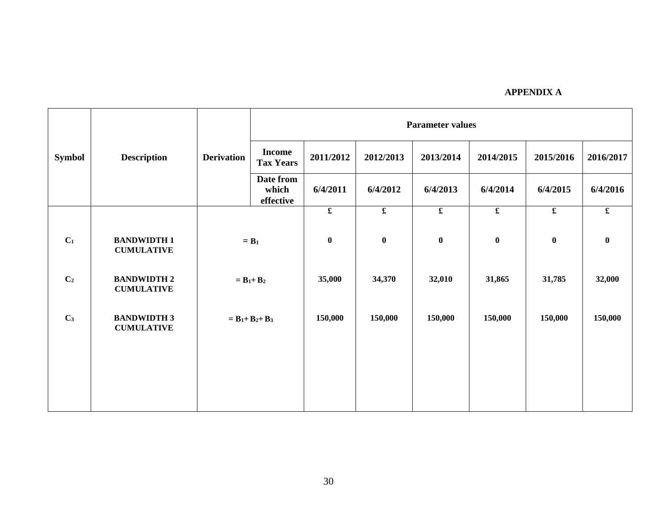|                |                                         |                           | <b>Parameter values</b>                        |                         |                      |                      |                      |                      |                         |  |
|----------------|-----------------------------------------|---------------------------|------------------------------------------------|-------------------------|----------------------|----------------------|----------------------|----------------------|-------------------------|--|
| <b>Symbol</b>  | <b>Description</b>                      | <b>Derivation</b>         | <b>Income</b><br><b>Tax Years</b>              | 2011/2012               | 2012/2013            | 2013/2014            | 2014/2015            | 2015/2016            | 2016/2017               |  |
|                |                                         |                           | Date from<br>which<br>effective                | 6/4/2011                | 6/4/2012             | 6/4/2013             | 6/4/2014             | 6/4/2015             | 6/4/2016                |  |
|                |                                         |                           |                                                | $\overline{\mathbf{f}}$ | $\pmb{\mathfrak{L}}$ | $\pmb{\mathfrak{L}}$ | $\pmb{\mathfrak{L}}$ | $\pmb{\mathfrak{L}}$ | $\overline{\mathbf{f}}$ |  |
| C <sub>1</sub> | <b>BANDWIDTH1</b><br><b>CUMULATIVE</b>  | $=$ <b>B</b> <sub>1</sub> |                                                | $\boldsymbol{0}$        | $\bf{0}$             | $\bf{0}$             | $\bf{0}$             | $\bf{0}$             | $\bf{0}$                |  |
| C <sub>2</sub> | <b>BANDWIDTH 2</b><br><b>CUMULATIVE</b> |                           | $= \mathbf{B}_1 + \mathbf{B}_2$                |                         | 34,370               | 32,010               | 31,865               | 31,785               | 32,000                  |  |
| C <sub>3</sub> | <b>BANDWIDTH 3</b><br><b>CUMULATIVE</b> |                           | $= \mathbf{B}_1 + \mathbf{B}_2 + \mathbf{B}_3$ |                         | 150,000              | 150,000              | 150,000              | 150,000              | 150,000                 |  |
|                |                                         |                           |                                                |                         |                      |                      |                      |                      |                         |  |
|                |                                         |                           |                                                |                         |                      |                      |                      |                      |                         |  |
|                |                                         |                           |                                                |                         |                      |                      |                      |                      |                         |  |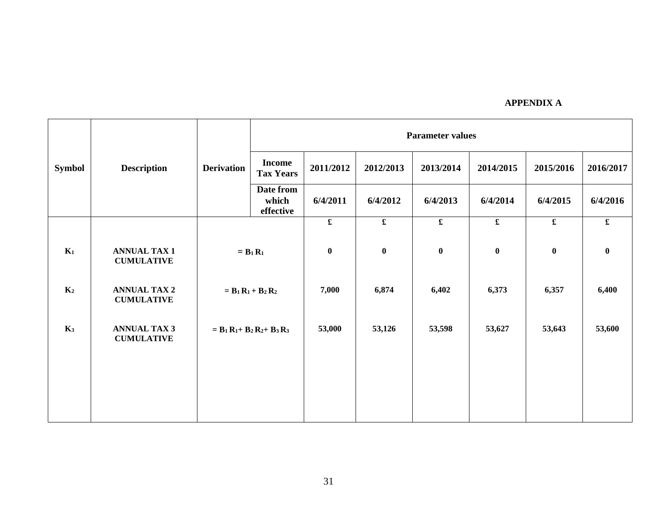|                |                                          |                   | <b>Parameter values</b>                                   |             |             |                                    |             |                         |             |  |
|----------------|------------------------------------------|-------------------|-----------------------------------------------------------|-------------|-------------|------------------------------------|-------------|-------------------------|-------------|--|
| <b>Symbol</b>  | <b>Description</b>                       | <b>Derivation</b> | <b>Income</b><br><b>Tax Years</b>                         | 2011/2012   | 2012/2013   | 2013/2014                          | 2014/2015   | 2015/2016               | 2016/2017   |  |
|                |                                          |                   | Date from<br>which<br>effective                           | 6/4/2011    | 6/4/2012    | 6/4/2013                           | 6/4/2014    | 6/4/2015                | 6/4/2016    |  |
|                |                                          |                   |                                                           | $\mathbf f$ | $\mathbf f$ | $\pmb{\pmb{\pmb{\pmb{\epsilon}}}}$ | $\mathbf f$ | $\overline{\mathbf{f}}$ | $\mathbf f$ |  |
| $K_1$          | <b>ANNUAL TAX 1</b><br><b>CUMULATIVE</b> |                   | $= B_1 R_1$                                               | $\bf{0}$    | $\bf{0}$    | $\bf{0}$                           | $\bf{0}$    | $\bf{0}$                | $\bf{0}$    |  |
| K <sub>2</sub> | <b>ANNUAL TAX 2</b><br><b>CUMULATIVE</b> |                   | $= \mathbf{B}_1 \mathbf{R}_1 + \mathbf{B}_2 \mathbf{R}_2$ | 7,000       | 6,874       | 6,402                              | 6,373       | 6,357                   | 6,400       |  |
| K <sub>3</sub> | <b>ANNUAL TAX 3</b><br><b>CUMULATIVE</b> |                   | $= B_1 R_1 + B_2 R_2 + B_3 R_3$                           | 53,000      | 53,126      | 53,598                             | 53,627      | 53,643                  | 53,600      |  |
|                |                                          |                   |                                                           |             |             |                                    |             |                         |             |  |
|                |                                          |                   |                                                           |             |             |                                    |             |                         |             |  |
|                |                                          |                   |                                                           |             |             |                                    |             |                         |             |  |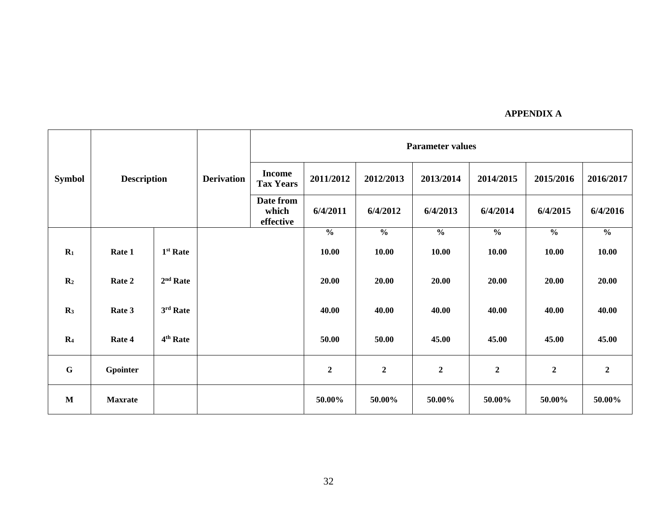|                | <b>Description</b> |                      |                   |                                   | <b>Parameter values</b> |                |                  |                  |                |                  |  |  |  |
|----------------|--------------------|----------------------|-------------------|-----------------------------------|-------------------------|----------------|------------------|------------------|----------------|------------------|--|--|--|
| <b>Symbol</b>  |                    |                      | <b>Derivation</b> | <b>Income</b><br><b>Tax Years</b> | 2011/2012               | 2012/2013      | 2013/2014        | 2014/2015        | 2015/2016      | 2016/2017        |  |  |  |
|                |                    |                      |                   | Date from<br>which<br>effective   | 6/4/2011                | 6/4/2012       | 6/4/2013         | 6/4/2014         | 6/4/2015       | 6/4/2016         |  |  |  |
|                |                    |                      |                   |                                   | $\frac{0}{0}$           | $\frac{0}{0}$  | $\frac{0}{0}$    | $\frac{0}{0}$    | $\frac{0}{0}$  | $\frac{6}{6}$    |  |  |  |
| $\mathbf{R}_1$ | Rate 1             | 1 <sup>st</sup> Rate |                   |                                   | 10.00                   | 10.00          | 10.00            | 10.00            | 10.00          | 10.00            |  |  |  |
| $\mathbf{R}_2$ | Rate 2             | $2nd$ Rate           |                   |                                   | 20.00                   | 20.00          | 20.00            | 20.00            | 20.00          | 20.00            |  |  |  |
| R <sub>3</sub> | Rate 3             | 3rd Rate             |                   |                                   | 40.00                   | 40.00          | 40.00            | 40.00            | 40.00          | 40.00            |  |  |  |
| R <sub>4</sub> | Rate 4             | 4 <sup>th</sup> Rate |                   |                                   | 50.00                   | 50.00          | 45.00            | 45.00            | 45.00          | 45.00            |  |  |  |
| $\mathbf G$    | Gpointer           |                      |                   |                                   | $\boldsymbol{2}$        | $\overline{2}$ | $\boldsymbol{2}$ | $\boldsymbol{2}$ | $\overline{2}$ | $\boldsymbol{2}$ |  |  |  |
| M              | <b>Maxrate</b>     |                      |                   |                                   | 50.00%                  | 50.00%         | 50.00%           | 50.00%           | 50.00%         | 50.00%           |  |  |  |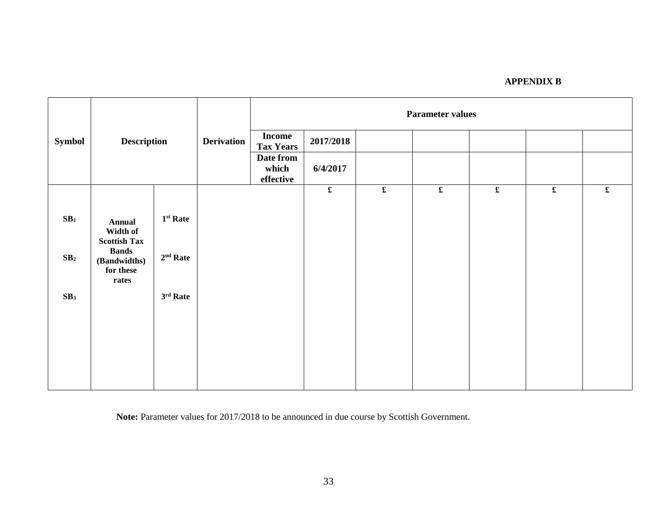|                 | <b>Description</b>                                 |                   |                   | <b>Parameter values</b>           |           |  |  |  |  |                      |  |  |
|-----------------|----------------------------------------------------|-------------------|-------------------|-----------------------------------|-----------|--|--|--|--|----------------------|--|--|
| <b>Symbol</b>   |                                                    |                   | <b>Derivation</b> | <b>Income</b><br><b>Tax Years</b> | 2017/2018 |  |  |  |  |                      |  |  |
|                 |                                                    |                   |                   | Date from<br>which<br>effective   | 6/4/2017  |  |  |  |  |                      |  |  |
|                 |                                                    |                   |                   |                                   |           |  |  |  |  | $\pmb{\mathfrak{L}}$ |  |  |
| SB <sub>1</sub> | <b>Annual</b><br>Width of<br><b>Scottish Tax</b>   | $1st$ Rate        |                   |                                   |           |  |  |  |  |                      |  |  |
| SB <sub>2</sub> | <b>Bands</b><br>(Bandwidths)<br>for these<br>rates | $2nd$ Rate        |                   |                                   |           |  |  |  |  |                      |  |  |
| SB <sub>3</sub> |                                                    | $3^{\rm rd}$ Rate |                   |                                   |           |  |  |  |  |                      |  |  |
|                 |                                                    |                   |                   |                                   |           |  |  |  |  |                      |  |  |
|                 |                                                    |                   |                   |                                   |           |  |  |  |  |                      |  |  |
|                 |                                                    |                   |                   |                                   |           |  |  |  |  |                      |  |  |
|                 |                                                    |                   |                   |                                   |           |  |  |  |  |                      |  |  |

**Note:** Parameter values for 2017/2018 to be announced in due course by Scottish Government.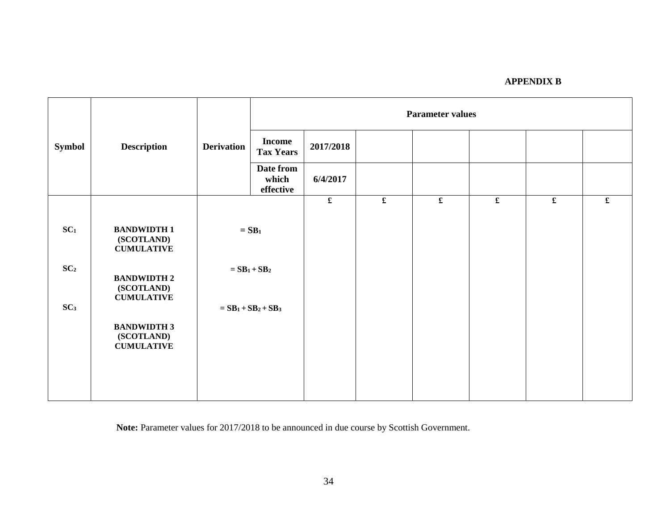|                 |                                                       |                   | <b>Parameter values</b>               |             |  |                      |             |             |                      |  |
|-----------------|-------------------------------------------------------|-------------------|---------------------------------------|-------------|--|----------------------|-------------|-------------|----------------------|--|
| <b>Symbol</b>   | <b>Description</b>                                    | <b>Derivation</b> | <b>Income</b><br><b>Tax Years</b>     | 2017/2018   |  |                      |             |             |                      |  |
|                 |                                                       |                   | Date from<br>which<br>effective       | 6/4/2017    |  |                      |             |             |                      |  |
|                 |                                                       |                   |                                       | $\mathbf f$ |  | $\pmb{\mathfrak{L}}$ | $\mathbf f$ | $\mathbf f$ | $\pmb{\mathfrak{L}}$ |  |
| SC <sub>1</sub> | <b>BANDWIDTH1</b><br>(SCOTLAND)<br><b>CUMULATIVE</b>  |                   | $=$ SB <sub>1</sub>                   |             |  |                      |             |             |                      |  |
| SC <sub>2</sub> | <b>BANDWIDTH 2</b><br>(SCOTLAND)<br><b>CUMULATIVE</b> |                   | $=$ SB <sub>1</sub> + SB <sub>2</sub> |             |  |                      |             |             |                      |  |
| SC <sub>3</sub> |                                                       |                   | $= SB1+SB2+SB3$                       |             |  |                      |             |             |                      |  |
|                 | <b>BANDWIDTH 3</b><br>(SCOTLAND)<br><b>CUMULATIVE</b> |                   |                                       |             |  |                      |             |             |                      |  |
|                 |                                                       |                   |                                       |             |  |                      |             |             |                      |  |

**Note:** Parameter values for 2017/2018 to be announced in due course by Scottish Government.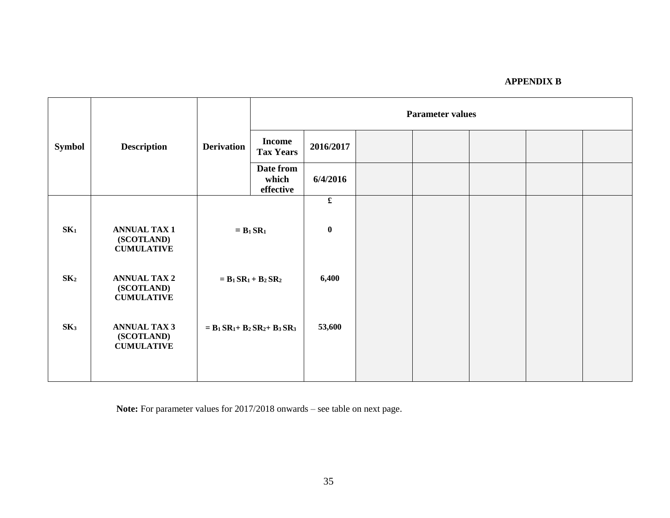|                 |                                                        |                   | <b>Parameter values</b>                                                         |                      |  |  |  |  |  |
|-----------------|--------------------------------------------------------|-------------------|---------------------------------------------------------------------------------|----------------------|--|--|--|--|--|
| <b>Symbol</b>   | <b>Description</b>                                     | <b>Derivation</b> | <b>Income</b><br><b>Tax Years</b>                                               | 2016/2017            |  |  |  |  |  |
|                 |                                                        |                   | Date from<br>which<br>effective                                                 | 6/4/2016             |  |  |  |  |  |
|                 |                                                        |                   |                                                                                 | $\pmb{\mathfrak{L}}$ |  |  |  |  |  |
| SK <sub>1</sub> | <b>ANNUAL TAX 1</b><br>(SCOTLAND)<br><b>CUMULATIVE</b> | $=$ $B_1$ $SR_1$  |                                                                                 | $\bf{0}$             |  |  |  |  |  |
| SK <sub>2</sub> | <b>ANNUAL TAX 2</b><br>(SCOTLAND)<br><b>CUMULATIVE</b> |                   | $= \mathbf{B}_1 \mathbf{S} \mathbf{R}_1 + \mathbf{B}_2 \mathbf{S} \mathbf{R}_2$ |                      |  |  |  |  |  |
| SK <sub>3</sub> | <b>ANNUAL TAX 3</b><br>(SCOTLAND)<br><b>CUMULATIVE</b> |                   | $= B_1 SR_1 + B_2 SR_2 + B_3 SR_3$                                              | 53,600               |  |  |  |  |  |
|                 |                                                        |                   |                                                                                 |                      |  |  |  |  |  |

**Note:** For parameter values for 2017/2018 onwards – see table on next page.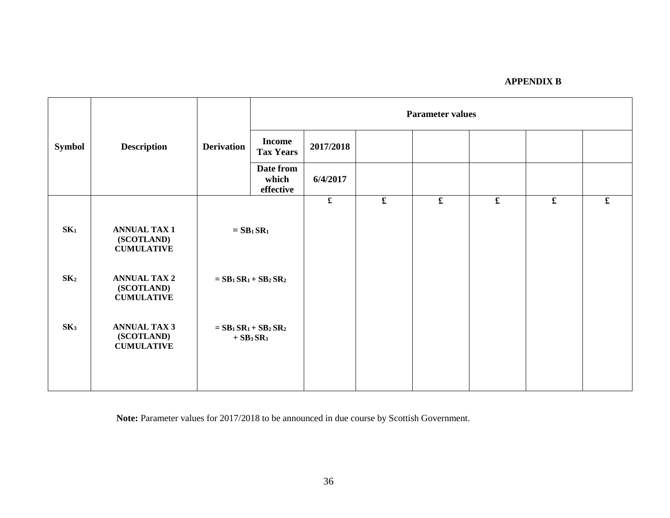|                 |                                                        |                   | <b>Parameter values</b>                                  |             |             |             |             |             |             |
|-----------------|--------------------------------------------------------|-------------------|----------------------------------------------------------|-------------|-------------|-------------|-------------|-------------|-------------|
| <b>Symbol</b>   | <b>Description</b>                                     | <b>Derivation</b> | <b>Income</b><br><b>Tax Years</b>                        | 2017/2018   |             |             |             |             |             |
|                 |                                                        |                   | Date from<br>which<br>effective                          | 6/4/2017    |             |             |             |             |             |
|                 |                                                        |                   |                                                          | $\mathbf f$ | $\mathbf f$ | $\mathbf f$ | $\mathbf f$ | $\mathbf f$ | $\mathbf f$ |
| SK <sub>1</sub> | <b>ANNUAL TAX 1</b><br>(SCOTLAND)<br><b>CUMULATIVE</b> |                   | $=$ SB <sub>1</sub> SR <sub>1</sub>                      |             |             |             |             |             |             |
| SK <sub>2</sub> | <b>ANNUAL TAX 2</b><br>(SCOTLAND)<br><b>CUMULATIVE</b> |                   | $= SB1SR1 + SB2SR2$                                      |             |             |             |             |             |             |
| SK <sub>3</sub> | <b>ANNUAL TAX 3</b><br>(SCOTLAND)<br><b>CUMULATIVE</b> |                   | $= SB1SR1+SB2SR2$<br>$+$ SB <sub>3</sub> SR <sub>3</sub> |             |             |             |             |             |             |
|                 |                                                        |                   |                                                          |             |             |             |             |             |             |

**Note:** Parameter values for 2017/2018 to be announced in due course by Scottish Government.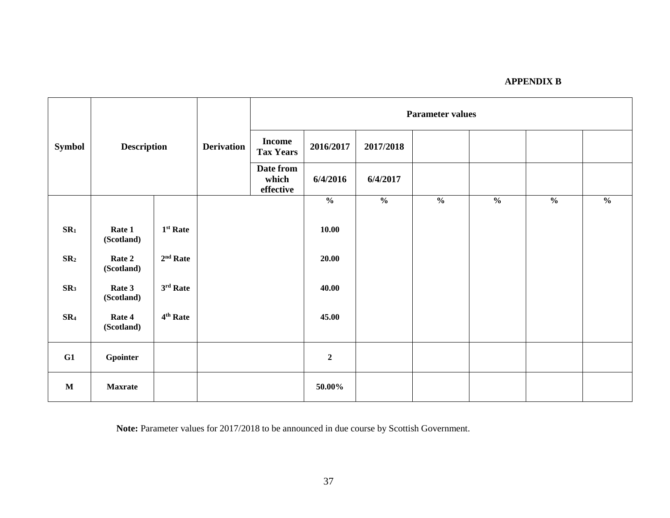|                 | <b>Description</b>   |                      |                        | <b>Parameter values</b>           |                  |               |               |               |               |                                  |
|-----------------|----------------------|----------------------|------------------------|-----------------------------------|------------------|---------------|---------------|---------------|---------------|----------------------------------|
| <b>Symbol</b>   |                      |                      | <b>Derivation</b>      | <b>Income</b><br><b>Tax Years</b> | 2016/2017        | 2017/2018     |               |               |               |                                  |
|                 |                      |                      | Date from<br>effective |                                   | 6/4/2016         | 6/4/2017      |               |               |               |                                  |
|                 |                      |                      |                        |                                   | $\frac{0}{0}$    | $\frac{0}{0}$ | $\frac{0}{0}$ | $\frac{0}{0}$ | $\frac{0}{0}$ | $\boldsymbol{\mathsf{0}/_{\!0}}$ |
| SR <sub>1</sub> | Rate 1<br>(Scotland) | $1st$ Rate           |                        |                                   | 10.00            |               |               |               |               |                                  |
| SR <sub>2</sub> | Rate 2<br>(Scotland) | $2nd$ Rate           |                        |                                   | 20.00            |               |               |               |               |                                  |
| SR <sub>3</sub> | Rate 3<br>(Scotland) | $3rd$ Rate           |                        |                                   | 40.00            |               |               |               |               |                                  |
| SR <sub>4</sub> | Rate 4<br>(Scotland) | 4 <sup>th</sup> Rate |                        |                                   | 45.00            |               |               |               |               |                                  |
| G1              | Gpointer             |                      |                        |                                   | $\boldsymbol{2}$ |               |               |               |               |                                  |
| $\mathbf M$     | <b>Maxrate</b>       |                      |                        |                                   | 50.00%           |               |               |               |               |                                  |

**Note:** Parameter values for 2017/2018 to be announced in due course by Scottish Government.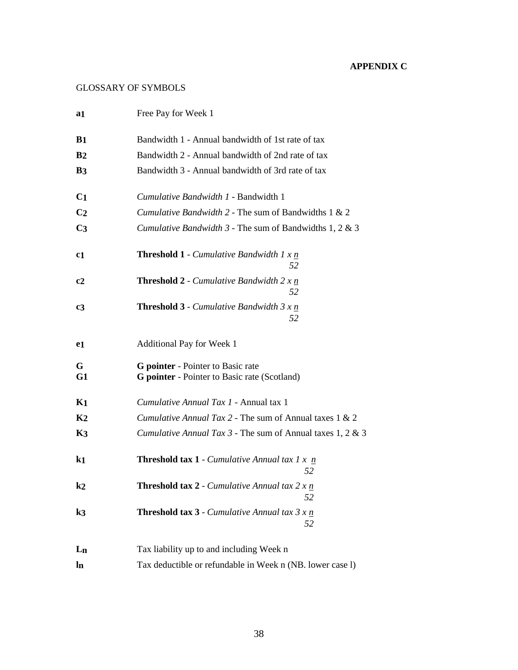# **APPENDIX C**

# GLOSSARY OF SYMBOLS

| a1             | Free Pay for Week 1                                                                             |
|----------------|-------------------------------------------------------------------------------------------------|
| B <sub>1</sub> | Bandwidth 1 - Annual bandwidth of 1st rate of tax                                               |
| B <sub>2</sub> | Bandwidth 2 - Annual bandwidth of 2nd rate of tax                                               |
| <b>B3</b>      | Bandwidth 3 - Annual bandwidth of 3rd rate of tax                                               |
| C <sub>1</sub> | Cumulative Bandwidth 1 - Bandwidth 1                                                            |
| C <sub>2</sub> | Cumulative Bandwidth 2 - The sum of Bandwidths 1 & 2                                            |
| C <sub>3</sub> | Cumulative Bandwidth 3 - The sum of Bandwidths 1, 2 & 3                                         |
| c <sub>1</sub> | <b>Threshold 1</b> - <i>Cumulative Bandwidth 1 x <math>\underline{n}</math></i><br>52           |
| c <sub>2</sub> | <b>Threshold 2</b> - <i>Cumulative Bandwidth 2 x n</i><br>52                                    |
| $c_3$          | <b>Threshold 3</b> - <i>Cumulative Bandwidth 3 x <math>\underline{n}</math></i><br>52           |
| e1             | Additional Pay for Week 1                                                                       |
| G<br>G1        | <b>G</b> pointer - Pointer to Basic rate<br><b>G</b> pointer - Pointer to Basic rate (Scotland) |
| $K_{1}$        | Cumulative Annual Tax 1 - Annual tax 1                                                          |
| K <sub>2</sub> | Cumulative Annual Tax 2 - The sum of Annual taxes 1 & 2                                         |
| K <sub>3</sub> | Cumulative Annual Tax 3 - The sum of Annual taxes 1, 2 & 3                                      |
| k1             | <b>Threshold tax 1</b> - <i>Cumulative Annual tax 1 x <math>n</math></i><br>52                  |
| $\mathbf{k}$   | <b>Threshold tax 2</b> - <i>Cumulative Annual tax 2 x <math>\underline{n}</math></i><br>52      |
| k3             | <b>Threshold tax 3</b> - <i>Cumulative Annual tax 3 x <math>\underline{n}</math></i><br>52      |
| $L_{n}$        | Tax liability up to and including Week n                                                        |
| $\ln$          | Tax deductible or refundable in Week n (NB. lower case l)                                       |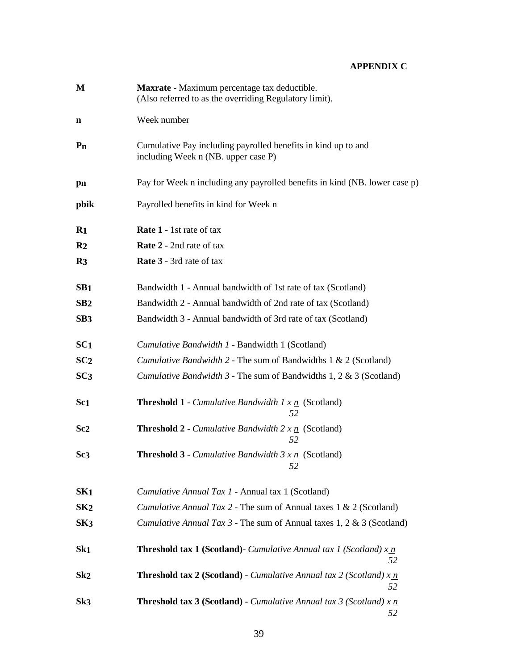# **APPENDIX C**

| M               | Maxrate - Maximum percentage tax deductible.<br>(Also referred to as the overriding Regulatory limit). |
|-----------------|--------------------------------------------------------------------------------------------------------|
| n               | Week number                                                                                            |
| $P_{n}$         | Cumulative Pay including payrolled benefits in kind up to and<br>including Week n (NB. upper case P)   |
| pn              | Pay for Week n including any payrolled benefits in kind (NB. lower case p)                             |
| pbik            | Payrolled benefits in kind for Week n                                                                  |
| $\mathbf{R}1$   | <b>Rate 1</b> - 1st rate of tax                                                                        |
| R <sub>2</sub>  | <b>Rate 2</b> - 2nd rate of tax                                                                        |
| R <sub>3</sub>  | <b>Rate 3</b> - 3rd rate of tax                                                                        |
| SB <sub>1</sub> | Bandwidth 1 - Annual bandwidth of 1st rate of tax (Scotland)                                           |
| SB2             | Bandwidth 2 - Annual bandwidth of 2nd rate of tax (Scotland)                                           |
| SB <sub>3</sub> | Bandwidth 3 - Annual bandwidth of 3rd rate of tax (Scotland)                                           |
| SC <sub>1</sub> | Cumulative Bandwidth 1 - Bandwidth 1 (Scotland)                                                        |
| SC <sub>2</sub> | <i>Cumulative Bandwidth</i> $2$ - The sum of Bandwidths $1 < 2$ (Scotland)                             |
| SC <sub>3</sub> | <i>Cumulative Bandwidth</i> $3$ - The sum of Bandwidths 1, 2 & 3 (Scotland)                            |
| Sc <sub>1</sub> | <b>Threshold 1</b> - <i>Cumulative Bandwidth 1 x <math>\underline{n}</math></i> (Scotland)<br>52       |
| Sc <sub>2</sub> | <b>Threshold 2</b> - <i>Cumulative Bandwidth 2 x n</i> (Scotland)<br>52                                |
| Sc <sub>3</sub> | <b>Threshold 3</b> - <i>Cumulative Bandwidth 3 x <math>\underline{n}</math></i> (Scotland)<br>52       |
| SK <sub>1</sub> | Cumulative Annual Tax 1 - Annual tax 1 (Scotland)                                                      |
| SK2             | Cumulative Annual Tax 2 - The sum of Annual taxes 1 & 2 (Scotland)                                     |
| SK3             | <i>Cumulative Annual Tax 3 - The sum of Annual taxes 1, 2 &amp; 3 (Scotland)</i>                       |
| Sk <sub>1</sub> | <b>Threshold tax 1 (Scotland)</b> - <i>Cumulative Annual tax 1 (Scotland)</i> $x_n$<br>52              |
| Sk2             | <b>Threshold tax 2 (Scotland)</b> - <i>Cumulative Annual tax 2 (Scotland)</i> $x_n$<br>52              |
| Sk3             | <b>Threshold tax 3 (Scotland)</b> - <i>Cumulative Annual tax 3 (Scotland)</i> $x$ $n$<br>52            |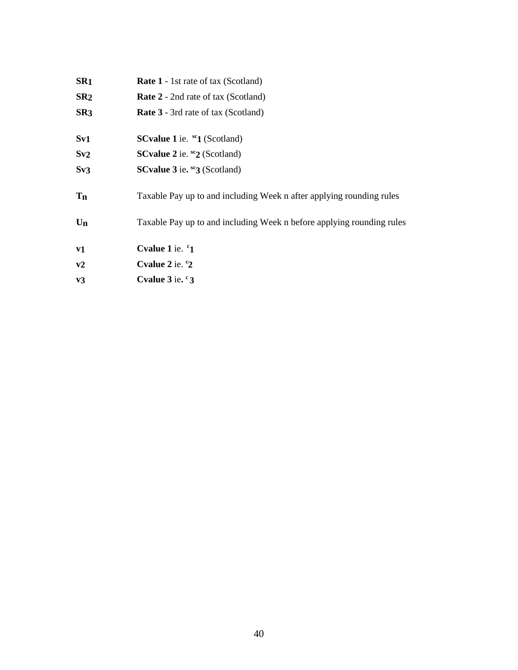| SR <sub>1</sub> | <b>Rate 1</b> - 1st rate of tax (Scotland)                            |
|-----------------|-----------------------------------------------------------------------|
| SR2             | <b>Rate 2</b> - 2nd rate of tax (Scotland)                            |
| SR <sub>3</sub> | <b>Rate 3</b> - 3rd rate of tax (Scotland)                            |
| $S_{V1}$        | <b>SCvalue 1</b> ie. $^{sc}$ <b>1</b> (Scotland)                      |
| Sv2             | <b>SCvalue 2</b> ie. ${}^{sc}2$ (Scotland)                            |
| Sv3             | <b>SCvalue 3</b> ie. $^{sc}3$ (Scotland)                              |
| T <sub>n</sub>  | Taxable Pay up to and including Week n after applying rounding rules  |
| $U_n$           | Taxable Pay up to and including Week n before applying rounding rules |
| ${\bf v1}$      | Cvalue 1 ie. <sup>c</sup> 1                                           |
| v2              | Cvalue $2$ ie. $\degree$ 2                                            |
| $v_3$           | Cvalue $3$ ie. $\degree$ 3                                            |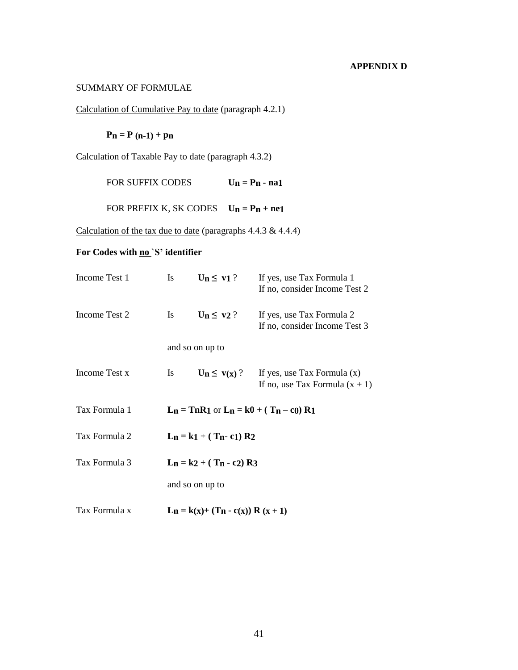## **APPENDIX D**

#### SUMMARY OF FORMULAE

Calculation of Cumulative Pay to date (paragraph 4.2.1)

 $P_n = P (n-1) + p_n$ 

Calculation of Taxable Pay to date (paragraph 4.3.2)

FOR SUFFIX CODES  $U_n = P_n - na_1$ 

FOR PREFIX K, SK CODES  $U_n = P_n + ne1$ 

Calculation of the tax due to date (paragraphs 4.4.3 & 4.4.4)

# For Codes with <u>no</u> `S' identifier

| Income Test 1 | <b>Is</b>                    | $\mathbf{Un} \leq \mathbf{v1}$ ?    | If yes, use Tax Formula 1<br>If no, consider Income Test 2        |  |
|---------------|------------------------------|-------------------------------------|-------------------------------------------------------------------|--|
| Income Test 2 | <b>Is</b>                    | $U_n \leq v2$ ?                     | If yes, use Tax Formula 2<br>If no, consider Income Test 3        |  |
|               |                              | and so on up to                     |                                                                   |  |
| Income Test x | <b>Is</b>                    | $U_n \leq v(x)$ ?                   | If yes, use Tax Formula $(x)$<br>If no, use Tax Formula $(x + 1)$ |  |
| Tax Formula 1 |                              |                                     | $L_n = ThR1$ or $L_n = k0 + (T_n - c_0) R1$                       |  |
| Tax Formula 2 |                              | $L_n = k1 + (T_n - c1) R2$          |                                                                   |  |
| Tax Formula 3 | $L_n = k2 + (T_n - c_2) R_3$ |                                     |                                                                   |  |
|               |                              | and so on up to                     |                                                                   |  |
| Tax Formula x |                              | $L_n = k(x)+(T_n - c(x)) R (x + 1)$ |                                                                   |  |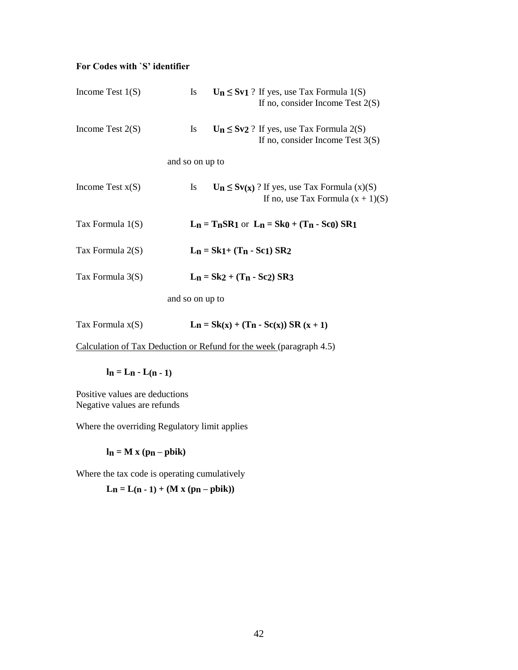# **For Codes with `S' identifier**

| Income Test $1(S)$ | $U_n \le Sv1$ ? If yes, use Tax Formula 1(S)<br><b>Is</b><br>If no, consider Income Test $2(S)$      |
|--------------------|------------------------------------------------------------------------------------------------------|
| Income Test $2(S)$ | $U_n \le Sv2$ ? If yes, use Tax Formula 2(S)<br>Is<br>If no, consider Income Test $3(S)$             |
|                    | and so on up to                                                                                      |
| Income Test $x(S)$ | $U_n \le Sv(x)$ ? If yes, use Tax Formula (x)(S)<br><b>Is</b><br>If no, use Tax Formula $(x + 1)(S)$ |
| Tax Formula $1(S)$ | $L_n = T_nSR_1$ or $L_n = Sk_0 + (T_n - Sc_0) SR_1$                                                  |
| Tax Formula 2(S)   | $L_n = Sk_1 + (T_n - Sc_1) SR_2$                                                                     |
| Tax Formula $3(S)$ | $L_n = Sk2 + (T_n - Sc2) SR3$                                                                        |
|                    | and so on up to                                                                                      |

| Tax Formula $x(S)$ | $L_n = Sk(x) + (T_n - Sc(x)) SR (x + 1)$ |  |  |
|--------------------|------------------------------------------|--|--|
|--------------------|------------------------------------------|--|--|

Calculation of Tax Deduction or Refund for the week (paragraph 4.5)

$$
l_n=L_n-L(n\mathbin{-}1)
$$

Positive values are deductions Negative values are refunds

Where the overriding Regulatory limit applies

 $\ln = M x (p_n - p \text{bik})$ 

Where the tax code is operating cumulatively

 $L_n = L(n - 1) + (M x (p_n - p b i k))$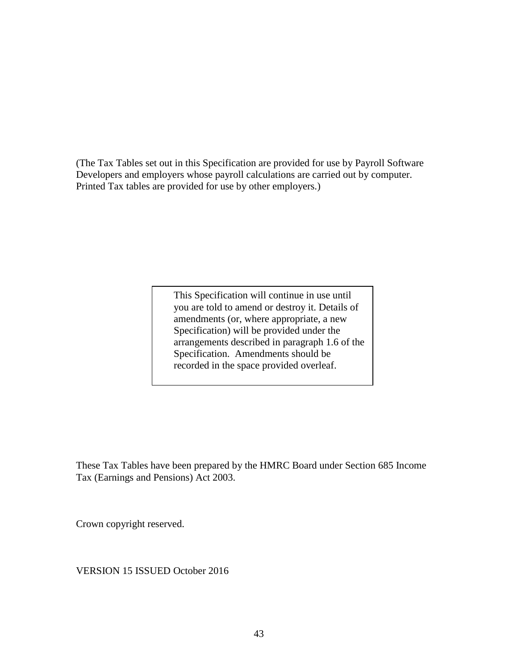(The Tax Tables set out in this Specification are provided for use by Payroll Software Developers and employers whose payroll calculations are carried out by computer. Printed Tax tables are provided for use by other employers.)

> This Specification will continue in use until you are told to amend or destroy it. Details of amendments (or, where appropriate, a new Specification) will be provided under the arrangements described in paragraph 1.6 of the Specification. Amendments should be recorded in the space provided overleaf.

These Tax Tables have been prepared by the HMRC Board under Section 685 Income Tax (Earnings and Pensions) Act 2003.

Crown copyright reserved.

VERSION 15 ISSUED October 2016